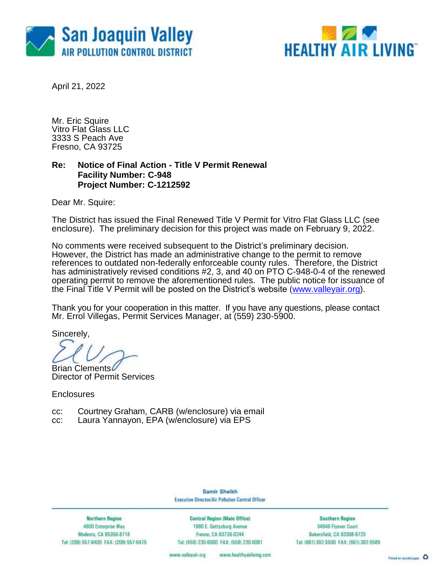



April 21, 2022

Mr. Eric Squire Vitro Flat Glass LLC 3333 S Peach Ave Fresno, CA 93725

## **Re: Notice of Final Action - Title V Permit Renewal Facility Number: C-948 Project Number: C-1212592**

Dear Mr. Squire:

The District has issued the Final Renewed Title V Permit for Vitro Flat Glass LLC (see enclosure). The preliminary decision for this project was made on February 9, 2022.

No comments were received subsequent to the District's preliminary decision. However, the District has made an administrative change to the permit to remove references to outdated non-federally enforceable county rules. Therefore, the District has administratively revised conditions #2, 3, and 40 on PTO C-948-0-4 of the renewed operating permit to remove the aforementioned rules. The public notice for issuance of the Final Title V Permit will be posted on the District's website [\(www.valleyair.org\)](http://www.valleyair.org/).

Thank you for your cooperation in this matter. If you have any questions, please contact Mr. Errol Villegas, Permit Services Manager, at (559) 230-5900.

Sincerely,

Brian Clements

Director of Permit Services

**Enclosures** 

cc: Courtney Graham, CARB (w/enclosure) via email

cc: Laura Yannayon, EPA (w/enclosure) via EPS

Samir Sheikh Executive Director/Air Pollution Control Officer

**Northern Region** 4800 Enterprise Way Modesto, CA 95356-8718 Tel: (209) 557-6400 FAX: (209) 557-6475

Central Region (Main Office) 1990 E. Gettysburg Avenue Fresno, CA 93726-0244 Tel: (559) 230-6000 FAX: (559) 230-6061

**Southern Region** 34946 Flyover Court Bakersfield, CA 93308-9725 Tel: (661) 392-5500 FAX: (661) 392-5585

www.healthyairliving.com www.valleyair.org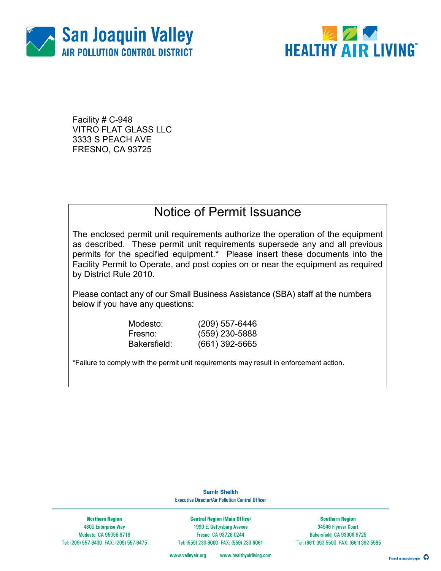



Facility # C-948 VITRO FLAT GLASS LLC 3333 S PEACH AVE FRESNO, CA 93725

## Notice of Permit Issuance

The enclosed permit unit requirements authorize the operation of the equipment as described. These permit unit requirements supersede any and all previous permits for the specified equipment.\* Please insert these documents into the Facility Permit to Operate, and post copies on or near the equipment as required by District Rule 2010.

Please contact any of our Small Business Assistance (SBA) staff at the numbers below if you have any questions:

Modesto: (209) 557-6446

Fresno: (559) 230-5888 Bakersfield: (661) 392-5665

\*Failure to comply with the permit unit requirements may result in enforcement action.

**Samir Sheikh Executive Director/Air Pollution Control Officer** 

**Northern Region** 4800 Enterprise Way Modesto, CA 95356-8718 Tel: (209) 557-6400 FAX: (209) 557-6475

**Central Region (Main Office)** 1990 E. Gettysburg Avenue Fresno, CA 93726-0244 Tel: (559) 230-6000 FAX: (559) 230-6061

**Southern Region** 34946 Flyover Court Bakersfield, CA 93308-9725 Tel: (661) 392-5500 FAX: (661) 392-5585

www.healthyairliving.com www.valleyair.org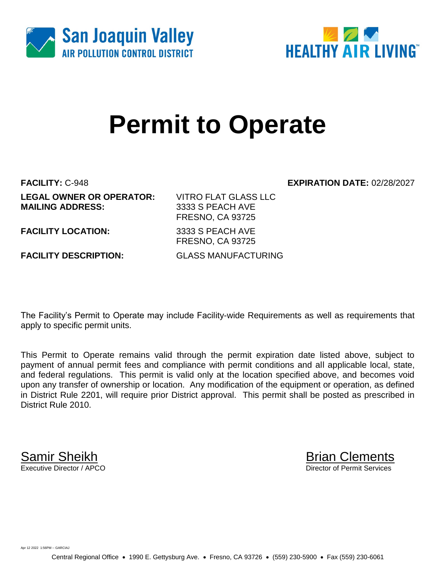



# **Permit to Operate**

**FACILITY:** C-948 **EXPIRATION DATE:** 02/28/2027 **LEGAL OWNER OR OPERATOR:** VITRO FLAT GLASS LLC **MAILING ADDRESS:** 3333 S PEACH AVE

FRESNO, CA 93725 **FACILITY LOCATION:** 3333 S PEACH AVE

**FACILITY DESCRIPTION:** GLASS MANUFACTURING

FRESNO, CA 93725

The Facility's Permit to Operate may include Facility-wide Requirements as well as requirements that apply to specific permit units.

This Permit to Operate remains valid through the permit expiration date listed above, subject to payment of annual permit fees and compliance with permit conditions and all applicable local, state, and federal regulations. This permit is valid only at the location specified above, and becomes void upon any transfer of ownership or location. Any modification of the equipment or operation, as defined in District Rule 2201, will require prior District approval. This permit shall be posted as prescribed in District Rule 2010.

**Samir Sheikh**<br>Executive Director / APCO

Director of Permit Services

Apr 12 2022 1:56PM -- GARCIAJ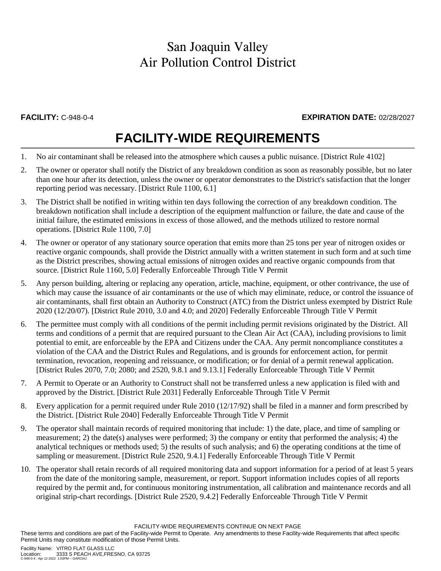## **FACILITY:** C-948-0-4 **EXPIRATION DATE:** 02/28/2027

## **FACILITY-WIDE REQUIREMENTS**

- 1. No air contaminant shall be released into the atmosphere which causes a public nuisance. [District Rule 4102]
- 2. The owner or operator shall notify the District of any breakdown condition as soon as reasonably possible, but no later than one hour after its detection, unless the owner or operator demonstrates to the District's satisfaction that the longer reporting period was necessary. [District Rule 1100, 6.1]
- 3. The District shall be notified in writing within ten days following the correction of any breakdown condition. The breakdown notification shall include a description of the equipment malfunction or failure, the date and cause of the initial failure, the estimated emissions in excess of those allowed, and the methods utilized to restore normal operations. [District Rule 1100, 7.0]
- 4. The owner or operator of any stationary source operation that emits more than 25 tons per year of nitrogen oxides or reactive organic compounds, shall provide the District annually with a written statement in such form and at such time as the District prescribes, showing actual emissions of nitrogen oxides and reactive organic compounds from that source. [District Rule 1160, 5.0] Federally Enforceable Through Title V Permit
- 5. Any person building, altering or replacing any operation, article, machine, equipment, or other contrivance, the use of which may cause the issuance of air contaminants or the use of which may eliminate, reduce, or control the issuance of air contaminants, shall first obtain an Authority to Construct (ATC) from the District unless exempted by District Rule 2020 (12/20/07). [District Rule 2010, 3.0 and 4.0; and 2020] Federally Enforceable Through Title V Permit
- 6. The permittee must comply with all conditions of the permit including permit revisions originated by the District. All terms and conditions of a permit that are required pursuant to the Clean Air Act (CAA), including provisions to limit potential to emit, are enforceable by the EPA and Citizens under the CAA. Any permit noncompliance constitutes a violation of the CAA and the District Rules and Regulations, and is grounds for enforcement action, for permit termination, revocation, reopening and reissuance, or modification; or for denial of a permit renewal application. [District Rules 2070, 7.0; 2080; and 2520, 9.8.1 and 9.13.1] Federally Enforceable Through Title V Permit
- 7. A Permit to Operate or an Authority to Construct shall not be transferred unless a new application is filed with and approved by the District. [District Rule 2031] Federally Enforceable Through Title V Permit
- 8. Every application for a permit required under Rule 2010 (12/17/92) shall be filed in a manner and form prescribed by the District. [District Rule 2040] Federally Enforceable Through Title V Permit
- 9. The operator shall maintain records of required monitoring that include: 1) the date, place, and time of sampling or measurement; 2) the date(s) analyses were performed; 3) the company or entity that performed the analysis; 4) the analytical techniques or methods used; 5) the results of such analysis; and 6) the operating conditions at the time of sampling or measurement. [District Rule 2520, 9.4.1] Federally Enforceable Through Title V Permit
- 10. The operator shall retain records of all required monitoring data and support information for a period of at least 5 years from the date of the monitoring sample, measurement, or report. Support information includes copies of all reports required by the permit and, for continuous monitoring instrumentation, all calibration and maintenance records and all original strip-chart recordings. [District Rule 2520, 9.4.2] Federally Enforceable Through Title V Permit

FACILITY-WIDE REQUIREMENTS CONTINUE ON NEXT PAGE

These terms and conditions are part of the Facility-wide Permit to Operate. Any amendments to these Facility-wide Requirements that affect specific Permit Units may constitute modification of those Permit Units.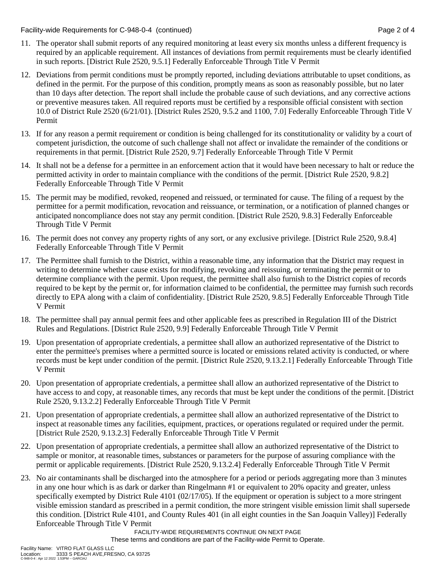Facility-wide Requirements for C-948-0-4 (continued) Page 2 of 4

- 11. The operator shall submit reports of any required monitoring at least every six months unless a different frequency is required by an applicable requirement. All instances of deviations from permit requirements must be clearly identified in such reports. [District Rule 2520, 9.5.1] Federally Enforceable Through Title V Permit
- 12. Deviations from permit conditions must be promptly reported, including deviations attributable to upset conditions, as defined in the permit. For the purpose of this condition, promptly means as soon as reasonably possible, but no later than 10 days after detection. The report shall include the probable cause of such deviations, and any corrective actions or preventive measures taken. All required reports must be certified by a responsible official consistent with section 10.0 of District Rule 2520 (6/21/01). [District Rules 2520, 9.5.2 and 1100, 7.0] Federally Enforceable Through Title V Permit
- 13. If for any reason a permit requirement or condition is being challenged for its constitutionality or validity by a court of competent jurisdiction, the outcome of such challenge shall not affect or invalidate the remainder of the conditions or requirements in that permit. [District Rule 2520, 9.7] Federally Enforceable Through Title V Permit
- 14. It shall not be a defense for a permittee in an enforcement action that it would have been necessary to halt or reduce the permitted activity in order to maintain compliance with the conditions of the permit. [District Rule 2520, 9.8.2] Federally Enforceable Through Title V Permit
- 15. The permit may be modified, revoked, reopened and reissued, or terminated for cause. The filing of a request by the permittee for a permit modification, revocation and reissuance, or termination, or a notification of planned changes or anticipated noncompliance does not stay any permit condition. [District Rule 2520, 9.8.3] Federally Enforceable Through Title V Permit
- 16. The permit does not convey any property rights of any sort, or any exclusive privilege. [District Rule 2520, 9.8.4] Federally Enforceable Through Title V Permit
- 17. The Permittee shall furnish to the District, within a reasonable time, any information that the District may request in writing to determine whether cause exists for modifying, revoking and reissuing, or terminating the permit or to determine compliance with the permit. Upon request, the permittee shall also furnish to the District copies of records required to be kept by the permit or, for information claimed to be confidential, the permittee may furnish such records directly to EPA along with a claim of confidentiality. [District Rule 2520, 9.8.5] Federally Enforceable Through Title V Permit
- 18. The permittee shall pay annual permit fees and other applicable fees as prescribed in Regulation III of the District Rules and Regulations. [District Rule 2520, 9.9] Federally Enforceable Through Title V Permit
- 19. Upon presentation of appropriate credentials, a permittee shall allow an authorized representative of the District to enter the permittee's premises where a permitted source is located or emissions related activity is conducted, or where records must be kept under condition of the permit. [District Rule 2520, 9.13.2.1] Federally Enforceable Through Title V Permit
- 20. Upon presentation of appropriate credentials, a permittee shall allow an authorized representative of the District to have access to and copy, at reasonable times, any records that must be kept under the conditions of the permit. [District Rule 2520, 9.13.2.2] Federally Enforceable Through Title V Permit
- 21. Upon presentation of appropriate credentials, a permittee shall allow an authorized representative of the District to inspect at reasonable times any facilities, equipment, practices, or operations regulated or required under the permit. [District Rule 2520, 9.13.2.3] Federally Enforceable Through Title V Permit
- 22. Upon presentation of appropriate credentials, a permittee shall allow an authorized representative of the District to sample or monitor, at reasonable times, substances or parameters for the purpose of assuring compliance with the permit or applicable requirements. [District Rule 2520, 9.13.2.4] Federally Enforceable Through Title V Permit
- 23. No air contaminants shall be discharged into the atmosphere for a period or periods aggregating more than 3 minutes in any one hour which is as dark or darker than Ringelmann #1 or equivalent to 20% opacity and greater, unless specifically exempted by District Rule 4101 (02/17/05). If the equipment or operation is subject to a more stringent visible emission standard as prescribed in a permit condition, the more stringent visible emission limit shall supersede this condition. [District Rule 4101, and County Rules 401 (in all eight counties in the San Joaquin Valley)] Federally Enforceable Through Title V Permit

FACILITY-WIDE REQUIREMENTS CONTINUE ON NEXT PAGE These terms and conditions are part of the Facility-wide Permit to Operate.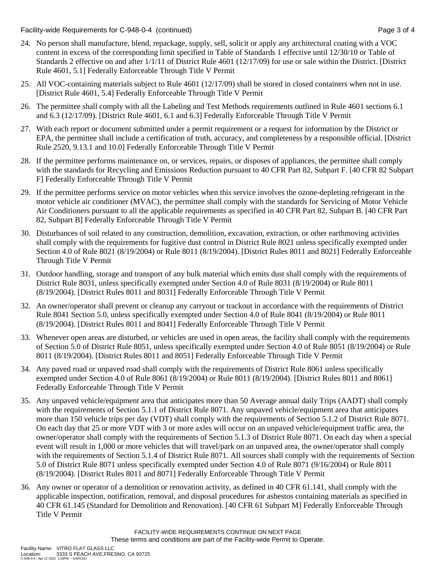Facility-wide Requirements for C-948-0-4 (continued) Page 3 of 4

- 24. No person shall manufacture, blend, repackage, supply, sell, solicit or apply any architectural coating with a VOC content in excess of the corresponding limit specified in Table of Standards 1 effective until 12/30/10 or Table of Standards 2 effective on and after 1/1/11 of District Rule 4601 (12/17/09) for use or sale within the District. [District Rule 4601, 5.1] Federally Enforceable Through Title V Permit
- 25. All VOC-containing materials subject to Rule 4601 (12/17/09) shall be stored in closed containers when not in use. [District Rule 4601, 5.4] Federally Enforceable Through Title V Permit
- 26. The permittee shall comply with all the Labeling and Test Methods requirements outlined in Rule 4601 sections 6.1 and 6.3 (12/17/09). [District Rule 4601, 6.1 and 6.3] Federally Enforceable Through Title V Permit
- 27. With each report or document submitted under a permit requirement or a request for information by the District or EPA, the permittee shall include a certification of truth, accuracy, and completeness by a responsible official. [District Rule 2520, 9.13.1 and 10.0] Federally Enforceable Through Title V Permit
- 28. If the permittee performs maintenance on, or services, repairs, or disposes of appliances, the permittee shall comply with the standards for Recycling and Emissions Reduction pursuant to 40 CFR Part 82, Subpart F. [40 CFR 82 Subpart F] Federally Enforceable Through Title V Permit
- 29. If the permittee performs service on motor vehicles when this service involves the ozone-depleting refrigerant in the motor vehicle air conditioner (MVAC), the permittee shall comply with the standards for Servicing of Motor Vehicle Air Conditioners pursuant to all the applicable requirements as specified in 40 CFR Part 82, Subpart B. [40 CFR Part 82, Subpart B] Federally Enforceable Through Title V Permit
- 30. Disturbances of soil related to any construction, demolition, excavation, extraction, or other earthmoving activities shall comply with the requirements for fugitive dust control in District Rule 8021 unless specifically exempted under Section 4.0 of Rule 8021 (8/19/2004) or Rule 8011 (8/19/2004). [District Rules 8011 and 8021] Federally Enforceable Through Title V Permit
- 31. Outdoor handling, storage and transport of any bulk material which emits dust shall comply with the requirements of District Rule 8031, unless specifically exempted under Section 4.0 of Rule 8031 (8/19/2004) or Rule 8011 (8/19/2004). [District Rules 8011 and 8031] Federally Enforceable Through Title V Permit
- 32. An owner/operator shall prevent or cleanup any carryout or trackout in accordance with the requirements of District Rule 8041 Section 5.0, unless specifically exempted under Section 4.0 of Rule 8041 (8/19/2004) or Rule 8011 (8/19/2004). [District Rules 8011 and 8041] Federally Enforceable Through Title V Permit
- 33. Whenever open areas are disturbed, or vehicles are used in open areas, the facility shall comply with the requirements of Section 5.0 of District Rule 8051, unless specifically exempted under Section 4.0 of Rule 8051 (8/19/2004) or Rule 8011 (8/19/2004). [District Rules 8011 and 8051] Federally Enforceable Through Title V Permit
- 34. Any paved road or unpaved road shall comply with the requirements of District Rule 8061 unless specifically exempted under Section 4.0 of Rule 8061 (8/19/2004) or Rule 8011 (8/19/2004). [District Rules 8011 and 8061] Federally Enforceable Through Title V Permit
- 35. Any unpaved vehicle/equipment area that anticipates more than 50 Average annual daily Trips (AADT) shall comply with the requirements of Section 5.1.1 of District Rule 8071. Any unpaved vehicle/equipment area that anticipates more than 150 vehicle trips per day (VDT) shall comply with the requirements of Section 5.1.2 of District Rule 8071. On each day that 25 or more VDT with 3 or more axles will occur on an unpaved vehicle/equipment traffic area, the owner/operator shall comply with the requirements of Section 5.1.3 of District Rule 8071. On each day when a special event will result in 1,000 or more vehicles that will travel/park on an unpaved area, the owner/operator shall comply with the requirements of Section 5.1.4 of District Rule 8071. All sources shall comply with the requirements of Section 5.0 of District Rule 8071 unless specifically exempted under Section 4.0 of Rule 8071 (9/16/2004) or Rule 8011 (8/19/2004). [District Rules 8011 and 8071] Federally Enforceable Through Title V Permit
- 36. Any owner or operator of a demolition or renovation activity, as defined in 40 CFR 61.141, shall comply with the applicable inspection, notification, removal, and disposal procedures for asbestos containing materials as specified in 40 CFR 61.145 (Standard for Demolition and Renovation). [40 CFR 61 Subpart M] Federally Enforceable Through Title V Permit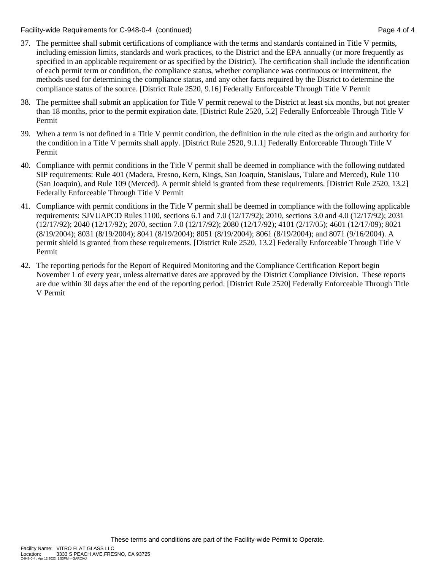Facility-wide Requirements for C-948-0-4 (continued) Page 4 of 4

- 37. The permittee shall submit certifications of compliance with the terms and standards contained in Title V permits, including emission limits, standards and work practices, to the District and the EPA annually (or more frequently as specified in an applicable requirement or as specified by the District). The certification shall include the identification of each permit term or condition, the compliance status, whether compliance was continuous or intermittent, the methods used for determining the compliance status, and any other facts required by the District to determine the compliance status of the source. [District Rule 2520, 9.16] Federally Enforceable Through Title V Permit
- 38. The permittee shall submit an application for Title V permit renewal to the District at least six months, but not greater than 18 months, prior to the permit expiration date. [District Rule 2520, 5.2] Federally Enforceable Through Title V Permit
- 39. When a term is not defined in a Title V permit condition, the definition in the rule cited as the origin and authority for the condition in a Title V permits shall apply. [District Rule 2520, 9.1.1] Federally Enforceable Through Title V Permit
- 40. Compliance with permit conditions in the Title V permit shall be deemed in compliance with the following outdated SIP requirements: Rule 401 (Madera, Fresno, Kern, Kings, San Joaquin, Stanislaus, Tulare and Merced), Rule 110 (San Joaquin), and Rule 109 (Merced). A permit shield is granted from these requirements. [District Rule 2520, 13.2] Federally Enforceable Through Title V Permit
- 41. Compliance with permit conditions in the Title V permit shall be deemed in compliance with the following applicable requirements: SJVUAPCD Rules 1100, sections 6.1 and 7.0 (12/17/92); 2010, sections 3.0 and 4.0 (12/17/92); 2031 (12/17/92); 2040 (12/17/92); 2070, section 7.0 (12/17/92); 2080 (12/17/92); 4101 (2/17/05); 4601 (12/17/09); 8021 (8/19/2004); 8031 (8/19/2004); 8041 (8/19/2004); 8051 (8/19/2004); 8061 (8/19/2004); and 8071 (9/16/2004). A permit shield is granted from these requirements. [District Rule 2520, 13.2] Federally Enforceable Through Title V Permit
- 42. The reporting periods for the Report of Required Monitoring and the Compliance Certification Report begin November 1 of every year, unless alternative dates are approved by the District Compliance Division. These reports are due within 30 days after the end of the reporting period. [District Rule 2520] Federally Enforceable Through Title V Permit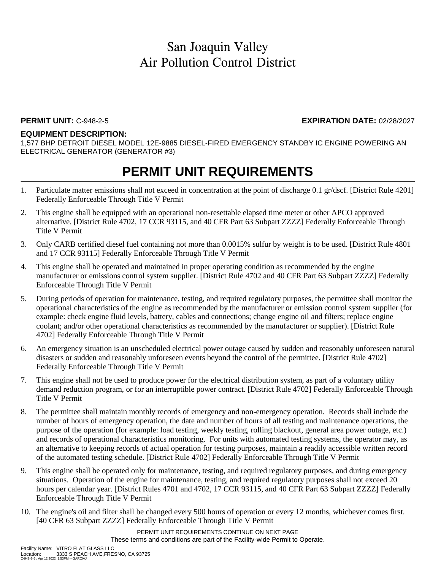### **PERMIT UNIT:** C-948-2-5 **EXPIRATION DATE:** 02/28/2027

#### **EQUIPMENT DESCRIPTION:**

1,577 BHP DETROIT DIESEL MODEL 12E-9885 DIESEL-FIRED EMERGENCY STANDBY IC ENGINE POWERING AN ELECTRICAL GENERATOR (GENERATOR #3)

## **PERMIT UNIT REQUIREMENTS**

- 1. Particulate matter emissions shall not exceed in concentration at the point of discharge 0.1 gr/dscf. [District Rule 4201] Federally Enforceable Through Title V Permit
- 2. This engine shall be equipped with an operational non-resettable elapsed time meter or other APCO approved alternative. [District Rule 4702, 17 CCR 93115, and 40 CFR Part 63 Subpart ZZZZ] Federally Enforceable Through Title V Permit
- 3. Only CARB certified diesel fuel containing not more than 0.0015% sulfur by weight is to be used. [District Rule 4801 and 17 CCR 93115] Federally Enforceable Through Title V Permit
- 4. This engine shall be operated and maintained in proper operating condition as recommended by the engine manufacturer or emissions control system supplier. [District Rule 4702 and 40 CFR Part 63 Subpart ZZZZ] Federally Enforceable Through Title V Permit
- 5. During periods of operation for maintenance, testing, and required regulatory purposes, the permittee shall monitor the operational characteristics of the engine as recommended by the manufacturer or emission control system supplier (for example: check engine fluid levels, battery, cables and connections; change engine oil and filters; replace engine coolant; and/or other operational characteristics as recommended by the manufacturer or supplier). [District Rule 4702] Federally Enforceable Through Title V Permit
- 6. An emergency situation is an unscheduled electrical power outage caused by sudden and reasonably unforeseen natural disasters or sudden and reasonably unforeseen events beyond the control of the permittee. [District Rule 4702] Federally Enforceable Through Title V Permit
- 7. This engine shall not be used to produce power for the electrical distribution system, as part of a voluntary utility demand reduction program, or for an interruptible power contract. [District Rule 4702] Federally Enforceable Through Title V Permit
- 8. The permittee shall maintain monthly records of emergency and non-emergency operation. Records shall include the number of hours of emergency operation, the date and number of hours of all testing and maintenance operations, the purpose of the operation (for example: load testing, weekly testing, rolling blackout, general area power outage, etc.) and records of operational characteristics monitoring. For units with automated testing systems, the operator may, as an alternative to keeping records of actual operation for testing purposes, maintain a readily accessible written record of the automated testing schedule. [District Rule 4702] Federally Enforceable Through Title V Permit
- 9. This engine shall be operated only for maintenance, testing, and required regulatory purposes, and during emergency situations. Operation of the engine for maintenance, testing, and required regulatory purposes shall not exceed 20 hours per calendar year. [District Rules 4701 and 4702, 17 CCR 93115, and 40 CFR Part 63 Subpart ZZZZ] Federally Enforceable Through Title V Permit
- 10. The engine's oil and filter shall be changed every 500 hours of operation or every 12 months, whichever comes first. [40 CFR 63 Subpart ZZZZ] Federally Enforceable Through Title V Permit

PERMIT UNIT REQUIREMENTS CONTINUE ON NEXT PAGE These terms and conditions are part of the Facility-wide Permit to Operate.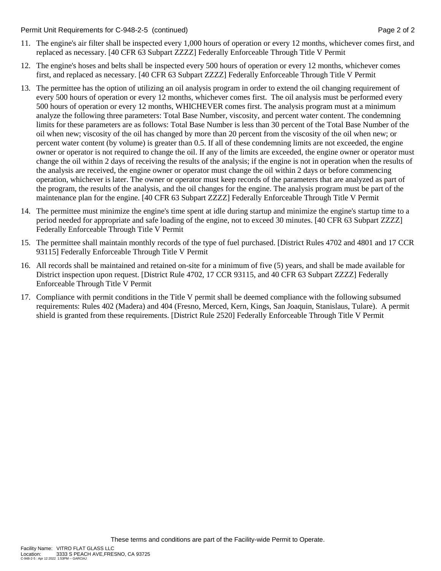#### Permit Unit Requirements for C-948-2-5 (continued) **Page 2** of 2

- 11. The engine's air filter shall be inspected every 1,000 hours of operation or every 12 months, whichever comes first, and replaced as necessary. [40 CFR 63 Subpart ZZZZ] Federally Enforceable Through Title V Permit
- 12. The engine's hoses and belts shall be inspected every 500 hours of operation or every 12 months, whichever comes first, and replaced as necessary. [40 CFR 63 Subpart ZZZZ] Federally Enforceable Through Title V Permit
- 13. The permittee has the option of utilizing an oil analysis program in order to extend the oil changing requirement of every 500 hours of operation or every 12 months, whichever comes first. The oil analysis must be performed every 500 hours of operation or every 12 months, WHICHEVER comes first. The analysis program must at a minimum analyze the following three parameters: Total Base Number, viscosity, and percent water content. The condemning limits for these parameters are as follows: Total Base Number is less than 30 percent of the Total Base Number of the oil when new; viscosity of the oil has changed by more than 20 percent from the viscosity of the oil when new; or percent water content (by volume) is greater than 0.5. If all of these condemning limits are not exceeded, the engine owner or operator is not required to change the oil. If any of the limits are exceeded, the engine owner or operator must change the oil within 2 days of receiving the results of the analysis; if the engine is not in operation when the results of the analysis are received, the engine owner or operator must change the oil within 2 days or before commencing operation, whichever is later. The owner or operator must keep records of the parameters that are analyzed as part of the program, the results of the analysis, and the oil changes for the engine. The analysis program must be part of the maintenance plan for the engine. [40 CFR 63 Subpart ZZZZ] Federally Enforceable Through Title V Permit
- 14. The permittee must minimize the engine's time spent at idle during startup and minimize the engine's startup time to a period needed for appropriate and safe loading of the engine, not to exceed 30 minutes. [40 CFR 63 Subpart ZZZZ] Federally Enforceable Through Title V Permit
- 15. The permittee shall maintain monthly records of the type of fuel purchased. [District Rules 4702 and 4801 and 17 CCR 93115] Federally Enforceable Through Title V Permit
- 16. All records shall be maintained and retained on-site for a minimum of five (5) years, and shall be made available for District inspection upon request. [District Rule 4702, 17 CCR 93115, and 40 CFR 63 Subpart ZZZZ] Federally Enforceable Through Title V Permit
- 17. Compliance with permit conditions in the Title V permit shall be deemed compliance with the following subsumed requirements: Rules 402 (Madera) and 404 (Fresno, Merced, Kern, Kings, San Joaquin, Stanislaus, Tulare). A permit shield is granted from these requirements. [District Rule 2520] Federally Enforceable Through Title V Permit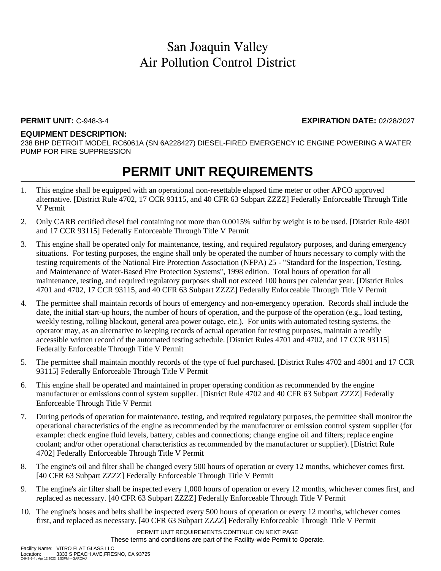### **PERMIT UNIT:** C-948-3-4 **EXPIRATION DATE:** 02/28/2027

#### **EQUIPMENT DESCRIPTION:**

238 BHP DETROIT MODEL RC6061A (SN 6A228427) DIESEL-FIRED EMERGENCY IC ENGINE POWERING A WATER PUMP FOR FIRE SUPPRESSION

## **PERMIT UNIT REQUIREMENTS**

- 1. This engine shall be equipped with an operational non-resettable elapsed time meter or other APCO approved alternative. [District Rule 4702, 17 CCR 93115, and 40 CFR 63 Subpart ZZZZ] Federally Enforceable Through Title V Permit
- 2. Only CARB certified diesel fuel containing not more than 0.0015% sulfur by weight is to be used. [District Rule 4801 and 17 CCR 93115] Federally Enforceable Through Title V Permit
- 3. This engine shall be operated only for maintenance, testing, and required regulatory purposes, and during emergency situations. For testing purposes, the engine shall only be operated the number of hours necessary to comply with the testing requirements of the National Fire Protection Association (NFPA) 25 - "Standard for the Inspection, Testing, and Maintenance of Water-Based Fire Protection Systems", 1998 edition. Total hours of operation for all maintenance, testing, and required regulatory purposes shall not exceed 100 hours per calendar year. [District Rules 4701 and 4702, 17 CCR 93115, and 40 CFR 63 Subpart ZZZZ] Federally Enforceable Through Title V Permit
- 4. The permittee shall maintain records of hours of emergency and non-emergency operation. Records shall include the date, the initial start-up hours, the number of hours of operation, and the purpose of the operation (e.g., load testing, weekly testing, rolling blackout, general area power outage, etc.). For units with automated testing systems, the operator may, as an alternative to keeping records of actual operation for testing purposes, maintain a readily accessible written record of the automated testing schedule. [District Rules 4701 and 4702, and 17 CCR 93115] Federally Enforceable Through Title V Permit
- 5. The permittee shall maintain monthly records of the type of fuel purchased. [District Rules 4702 and 4801 and 17 CCR 93115] Federally Enforceable Through Title V Permit
- 6. This engine shall be operated and maintained in proper operating condition as recommended by the engine manufacturer or emissions control system supplier. [District Rule 4702 and 40 CFR 63 Subpart ZZZZ] Federally Enforceable Through Title V Permit
- 7. During periods of operation for maintenance, testing, and required regulatory purposes, the permittee shall monitor the operational characteristics of the engine as recommended by the manufacturer or emission control system supplier (for example: check engine fluid levels, battery, cables and connections; change engine oil and filters; replace engine coolant; and/or other operational characteristics as recommended by the manufacturer or supplier). [District Rule 4702] Federally Enforceable Through Title V Permit
- 8. The engine's oil and filter shall be changed every 500 hours of operation or every 12 months, whichever comes first. [40 CFR 63 Subpart ZZZZ] Federally Enforceable Through Title V Permit
- 9. The engine's air filter shall be inspected every 1,000 hours of operation or every 12 months, whichever comes first, and replaced as necessary. [40 CFR 63 Subpart ZZZZ] Federally Enforceable Through Title V Permit
- 10. The engine's hoses and belts shall be inspected every 500 hours of operation or every 12 months, whichever comes first, and replaced as necessary. [40 CFR 63 Subpart ZZZZ] Federally Enforceable Through Title V Permit

PERMIT UNIT REQUIREMENTS CONTINUE ON NEXT PAGE These terms and conditions are part of the Facility-wide Permit to Operate.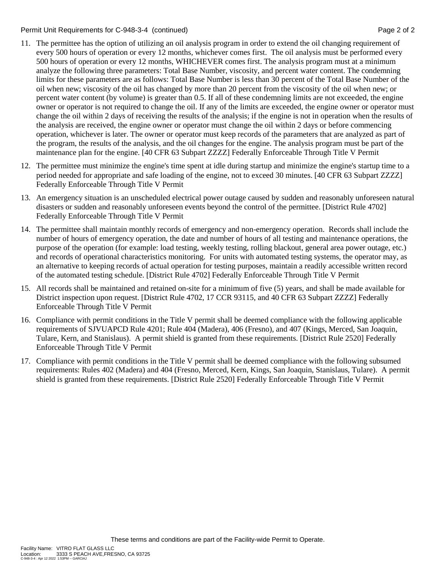Permit Unit Requirements for C-948-3-4 (continued) Page 2 of 2

- 11. The permittee has the option of utilizing an oil analysis program in order to extend the oil changing requirement of every 500 hours of operation or every 12 months, whichever comes first. The oil analysis must be performed every 500 hours of operation or every 12 months, WHICHEVER comes first. The analysis program must at a minimum analyze the following three parameters: Total Base Number, viscosity, and percent water content. The condemning limits for these parameters are as follows: Total Base Number is less than 30 percent of the Total Base Number of the oil when new; viscosity of the oil has changed by more than 20 percent from the viscosity of the oil when new; or percent water content (by volume) is greater than 0.5. If all of these condemning limits are not exceeded, the engine owner or operator is not required to change the oil. If any of the limits are exceeded, the engine owner or operator must change the oil within 2 days of receiving the results of the analysis; if the engine is not in operation when the results of the analysis are received, the engine owner or operator must change the oil within 2 days or before commencing operation, whichever is later. The owner or operator must keep records of the parameters that are analyzed as part of the program, the results of the analysis, and the oil changes for the engine. The analysis program must be part of the maintenance plan for the engine. [40 CFR 63 Subpart ZZZZ] Federally Enforceable Through Title V Permit
- 12. The permittee must minimize the engine's time spent at idle during startup and minimize the engine's startup time to a period needed for appropriate and safe loading of the engine, not to exceed 30 minutes. [40 CFR 63 Subpart ZZZZ] Federally Enforceable Through Title V Permit
- 13. An emergency situation is an unscheduled electrical power outage caused by sudden and reasonably unforeseen natural disasters or sudden and reasonably unforeseen events beyond the control of the permittee. [District Rule 4702] Federally Enforceable Through Title V Permit
- 14. The permittee shall maintain monthly records of emergency and non-emergency operation. Records shall include the number of hours of emergency operation, the date and number of hours of all testing and maintenance operations, the purpose of the operation (for example: load testing, weekly testing, rolling blackout, general area power outage, etc.) and records of operational characteristics monitoring. For units with automated testing systems, the operator may, as an alternative to keeping records of actual operation for testing purposes, maintain a readily accessible written record of the automated testing schedule. [District Rule 4702] Federally Enforceable Through Title V Permit
- 15. All records shall be maintained and retained on-site for a minimum of five (5) years, and shall be made available for District inspection upon request. [District Rule 4702, 17 CCR 93115, and 40 CFR 63 Subpart ZZZZ] Federally Enforceable Through Title V Permit
- 16. Compliance with permit conditions in the Title V permit shall be deemed compliance with the following applicable requirements of SJVUAPCD Rule 4201; Rule 404 (Madera), 406 (Fresno), and 407 (Kings, Merced, San Joaquin, Tulare, Kern, and Stanislaus). A permit shield is granted from these requirements. [District Rule 2520] Federally Enforceable Through Title V Permit
- 17. Compliance with permit conditions in the Title V permit shall be deemed compliance with the following subsumed requirements: Rules 402 (Madera) and 404 (Fresno, Merced, Kern, Kings, San Joaquin, Stanislaus, Tulare). A permit shield is granted from these requirements. [District Rule 2520] Federally Enforceable Through Title V Permit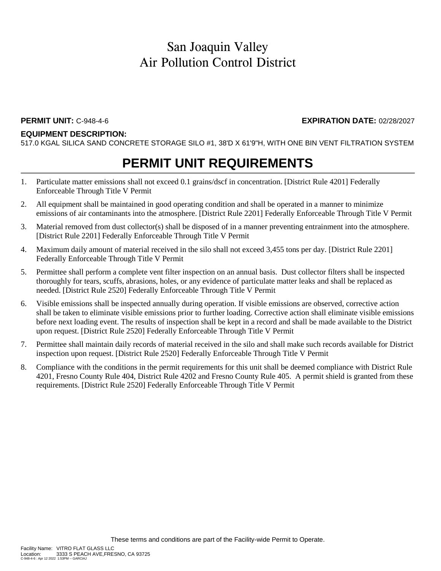#### **EQUIPMENT DESCRIPTION:**

517.0 KGAL SILICA SAND CONCRETE STORAGE SILO #1, 38'D X 61'9"H, WITH ONE BIN VENT FILTRATION SYSTEM

## **PERMIT UNIT REQUIREMENTS**

- 1. Particulate matter emissions shall not exceed 0.1 grains/dscf in concentration. [District Rule 4201] Federally Enforceable Through Title V Permit
- 2. All equipment shall be maintained in good operating condition and shall be operated in a manner to minimize emissions of air contaminants into the atmosphere. [District Rule 2201] Federally Enforceable Through Title V Permit
- 3. Material removed from dust collector(s) shall be disposed of in a manner preventing entrainment into the atmosphere. [District Rule 2201] Federally Enforceable Through Title V Permit
- 4. Maximum daily amount of material received in the silo shall not exceed 3,455 tons per day. [District Rule 2201] Federally Enforceable Through Title V Permit
- 5. Permittee shall perform a complete vent filter inspection on an annual basis. Dust collector filters shall be inspected thoroughly for tears, scuffs, abrasions, holes, or any evidence of particulate matter leaks and shall be replaced as needed. [District Rule 2520] Federally Enforceable Through Title V Permit
- 6. Visible emissions shall be inspected annually during operation. If visible emissions are observed, corrective action shall be taken to eliminate visible emissions prior to further loading. Corrective action shall eliminate visible emissions before next loading event. The results of inspection shall be kept in a record and shall be made available to the District upon request. [District Rule 2520] Federally Enforceable Through Title V Permit
- 7. Permittee shall maintain daily records of material received in the silo and shall make such records available for District inspection upon request. [District Rule 2520] Federally Enforceable Through Title V Permit
- 8. Compliance with the conditions in the permit requirements for this unit shall be deemed compliance with District Rule 4201, Fresno County Rule 404, District Rule 4202 and Fresno County Rule 405. A permit shield is granted from these requirements. [District Rule 2520] Federally Enforceable Through Title V Permit

**PERMIT UNIT:** C-948-4-6 **EXPIRATION DATE:** 02/28/2027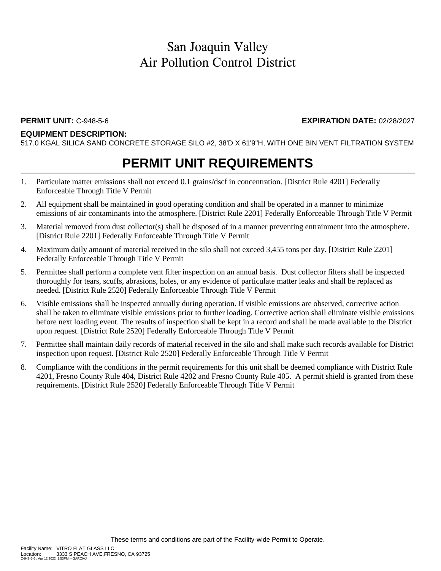### **EQUIPMENT DESCRIPTION:**

517.0 KGAL SILICA SAND CONCRETE STORAGE SILO #2, 38'D X 61'9"H, WITH ONE BIN VENT FILTRATION SYSTEM

## **PERMIT UNIT REQUIREMENTS**

- 1. Particulate matter emissions shall not exceed 0.1 grains/dscf in concentration. [District Rule 4201] Federally Enforceable Through Title V Permit
- 2. All equipment shall be maintained in good operating condition and shall be operated in a manner to minimize emissions of air contaminants into the atmosphere. [District Rule 2201] Federally Enforceable Through Title V Permit
- 3. Material removed from dust collector(s) shall be disposed of in a manner preventing entrainment into the atmosphere. [District Rule 2201] Federally Enforceable Through Title V Permit
- 4. Maximum daily amount of material received in the silo shall not exceed 3,455 tons per day. [District Rule 2201] Federally Enforceable Through Title V Permit
- 5. Permittee shall perform a complete vent filter inspection on an annual basis. Dust collector filters shall be inspected thoroughly for tears, scuffs, abrasions, holes, or any evidence of particulate matter leaks and shall be replaced as needed. [District Rule 2520] Federally Enforceable Through Title V Permit
- 6. Visible emissions shall be inspected annually during operation. If visible emissions are observed, corrective action shall be taken to eliminate visible emissions prior to further loading. Corrective action shall eliminate visible emissions before next loading event. The results of inspection shall be kept in a record and shall be made available to the District upon request. [District Rule 2520] Federally Enforceable Through Title V Permit
- 7. Permittee shall maintain daily records of material received in the silo and shall make such records available for District inspection upon request. [District Rule 2520] Federally Enforceable Through Title V Permit
- 8. Compliance with the conditions in the permit requirements for this unit shall be deemed compliance with District Rule 4201, Fresno County Rule 404, District Rule 4202 and Fresno County Rule 405. A permit shield is granted from these requirements. [District Rule 2520] Federally Enforceable Through Title V Permit

**PERMIT UNIT:** C-948-5-6 **EXPIRATION DATE:** 02/28/2027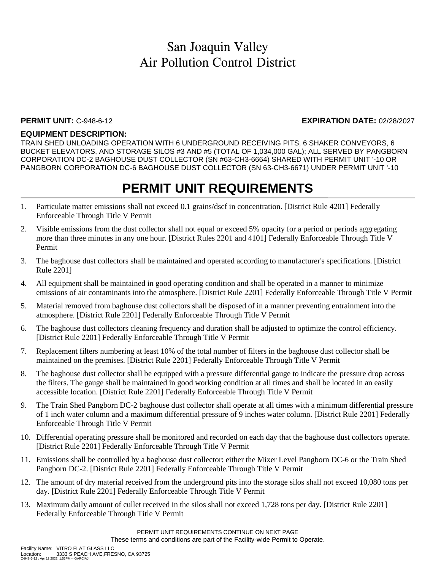### **PERMIT UNIT:** C-948-6-12 **EXPIRATION DATE:** 02/28/2027

### **EQUIPMENT DESCRIPTION:**

TRAIN SHED UNLOADING OPERATION WITH 6 UNDERGROUND RECEIVING PITS, 6 SHAKER CONVEYORS, 6 BUCKET ELEVATORS, AND STORAGE SILOS #3 AND #5 (TOTAL OF 1,034,000 GAL); ALL SERVED BY PANGBORN CORPORATION DC-2 BAGHOUSE DUST COLLECTOR (SN #63-CH3-6664) SHARED WITH PERMIT UNIT '-10 OR PANGBORN CORPORATION DC-6 BAGHOUSE DUST COLLECTOR (SN 63-CH3-6671) UNDER PERMIT UNIT '-10

## **PERMIT UNIT REQUIREMENTS**

- 1. Particulate matter emissions shall not exceed 0.1 grains/dscf in concentration. [District Rule 4201] Federally Enforceable Through Title V Permit
- 2. Visible emissions from the dust collector shall not equal or exceed 5% opacity for a period or periods aggregating more than three minutes in any one hour. [District Rules 2201 and 4101] Federally Enforceable Through Title V Permit
- 3. The baghouse dust collectors shall be maintained and operated according to manufacturer's specifications. [District Rule 2201]
- 4. All equipment shall be maintained in good operating condition and shall be operated in a manner to minimize emissions of air contaminants into the atmosphere. [District Rule 2201] Federally Enforceable Through Title V Permit
- 5. Material removed from baghouse dust collectors shall be disposed of in a manner preventing entrainment into the atmosphere. [District Rule 2201] Federally Enforceable Through Title V Permit
- 6. The baghouse dust collectors cleaning frequency and duration shall be adjusted to optimize the control efficiency. [District Rule 2201] Federally Enforceable Through Title V Permit
- 7. Replacement filters numbering at least 10% of the total number of filters in the baghouse dust collector shall be maintained on the premises. [District Rule 2201] Federally Enforceable Through Title V Permit
- 8. The baghouse dust collector shall be equipped with a pressure differential gauge to indicate the pressure drop across the filters. The gauge shall be maintained in good working condition at all times and shall be located in an easily accessible location. [District Rule 2201] Federally Enforceable Through Title V Permit
- 9. The Train Shed Pangborn DC-2 baghouse dust collector shall operate at all times with a minimum differential pressure of 1 inch water column and a maximum differential pressure of 9 inches water column. [District Rule 2201] Federally Enforceable Through Title V Permit
- 10. Differential operating pressure shall be monitored and recorded on each day that the baghouse dust collectors operate. [District Rule 2201] Federally Enforceable Through Title V Permit
- 11. Emissions shall be controlled by a baghouse dust collector: either the Mixer Level Pangborn DC-6 or the Train Shed Pangborn DC-2. [District Rule 2201] Federally Enforceable Through Title V Permit
- 12. The amount of dry material received from the underground pits into the storage silos shall not exceed 10,080 tons per day. [District Rule 2201] Federally Enforceable Through Title V Permit
- 13. Maximum daily amount of cullet received in the silos shall not exceed 1,728 tons per day. [District Rule 2201] Federally Enforceable Through Title V Permit

PERMIT UNIT REQUIREMENTS CONTINUE ON NEXT PAGE These terms and conditions are part of the Facility-wide Permit to Operate.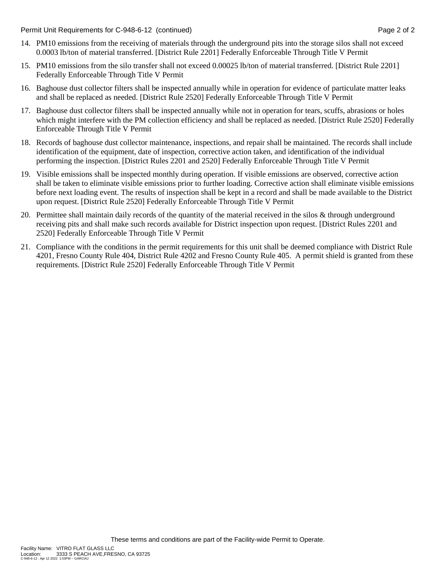Permit Unit Requirements for C-948-6-12 (continued) **Page 2** of 2

- 14. PM10 emissions from the receiving of materials through the underground pits into the storage silos shall not exceed 0.0003 lb/ton of material transferred. [District Rule 2201] Federally Enforceable Through Title V Permit
- 15. PM10 emissions from the silo transfer shall not exceed 0.00025 lb/ton of material transferred. [District Rule 2201] Federally Enforceable Through Title V Permit
- 16. Baghouse dust collector filters shall be inspected annually while in operation for evidence of particulate matter leaks and shall be replaced as needed. [District Rule 2520] Federally Enforceable Through Title V Permit
- 17. Baghouse dust collector filters shall be inspected annually while not in operation for tears, scuffs, abrasions or holes which might interfere with the PM collection efficiency and shall be replaced as needed. [District Rule 2520] Federally Enforceable Through Title V Permit
- 18. Records of baghouse dust collector maintenance, inspections, and repair shall be maintained. The records shall include identification of the equipment, date of inspection, corrective action taken, and identification of the individual performing the inspection. [District Rules 2201 and 2520] Federally Enforceable Through Title V Permit
- 19. Visible emissions shall be inspected monthly during operation. If visible emissions are observed, corrective action shall be taken to eliminate visible emissions prior to further loading. Corrective action shall eliminate visible emissions before next loading event. The results of inspection shall be kept in a record and shall be made available to the District upon request. [District Rule 2520] Federally Enforceable Through Title V Permit
- 20. Permittee shall maintain daily records of the quantity of the material received in the silos & through underground receiving pits and shall make such records available for District inspection upon request. [District Rules 2201 and 2520] Federally Enforceable Through Title V Permit
- 21. Compliance with the conditions in the permit requirements for this unit shall be deemed compliance with District Rule 4201, Fresno County Rule 404, District Rule 4202 and Fresno County Rule 405. A permit shield is granted from these requirements. [District Rule 2520] Federally Enforceable Through Title V Permit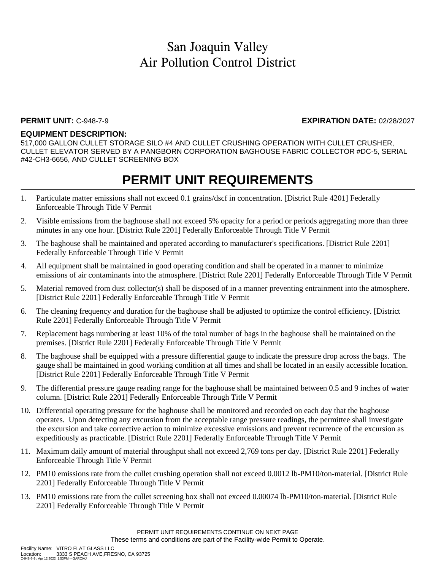### **PERMIT UNIT:** C-948-7-9 **EXPIRATION DATE:** 02/28/2027

### **EQUIPMENT DESCRIPTION:**

517,000 GALLON CULLET STORAGE SILO #4 AND CULLET CRUSHING OPERATION WITH CULLET CRUSHER, CULLET ELEVATOR SERVED BY A PANGBORN CORPORATION BAGHOUSE FABRIC COLLECTOR #DC-5, SERIAL #42-CH3-6656, AND CULLET SCREENING BOX

- 1. Particulate matter emissions shall not exceed 0.1 grains/dscf in concentration. [District Rule 4201] Federally Enforceable Through Title V Permit
- 2. Visible emissions from the baghouse shall not exceed 5% opacity for a period or periods aggregating more than three minutes in any one hour. [District Rule 2201] Federally Enforceable Through Title V Permit
- 3. The baghouse shall be maintained and operated according to manufacturer's specifications. [District Rule 2201] Federally Enforceable Through Title V Permit
- 4. All equipment shall be maintained in good operating condition and shall be operated in a manner to minimize emissions of air contaminants into the atmosphere. [District Rule 2201] Federally Enforceable Through Title V Permit
- 5. Material removed from dust collector(s) shall be disposed of in a manner preventing entrainment into the atmosphere. [District Rule 2201] Federally Enforceable Through Title V Permit
- 6. The cleaning frequency and duration for the baghouse shall be adjusted to optimize the control efficiency. [District Rule 2201] Federally Enforceable Through Title V Permit
- 7. Replacement bags numbering at least 10% of the total number of bags in the baghouse shall be maintained on the premises. [District Rule 2201] Federally Enforceable Through Title V Permit
- 8. The baghouse shall be equipped with a pressure differential gauge to indicate the pressure drop across the bags. The gauge shall be maintained in good working condition at all times and shall be located in an easily accessible location. [District Rule 2201] Federally Enforceable Through Title V Permit
- 9. The differential pressure gauge reading range for the baghouse shall be maintained between 0.5 and 9 inches of water column. [District Rule 2201] Federally Enforceable Through Title V Permit
- 10. Differential operating pressure for the baghouse shall be monitored and recorded on each day that the baghouse operates. Upon detecting any excursion from the acceptable range pressure readings, the permittee shall investigate the excursion and take corrective action to minimize excessive emissions and prevent recurrence of the excursion as expeditiously as practicable. [District Rule 2201] Federally Enforceable Through Title V Permit
- 11. Maximum daily amount of material throughput shall not exceed 2,769 tons per day. [District Rule 2201] Federally Enforceable Through Title V Permit
- 12. PM10 emissions rate from the cullet crushing operation shall not exceed 0.0012 lb-PM10/ton-material. [District Rule 2201] Federally Enforceable Through Title V Permit
- 13. PM10 emissions rate from the cullet screening box shall not exceed 0.00074 lb-PM10/ton-material. [District Rule 2201] Federally Enforceable Through Title V Permit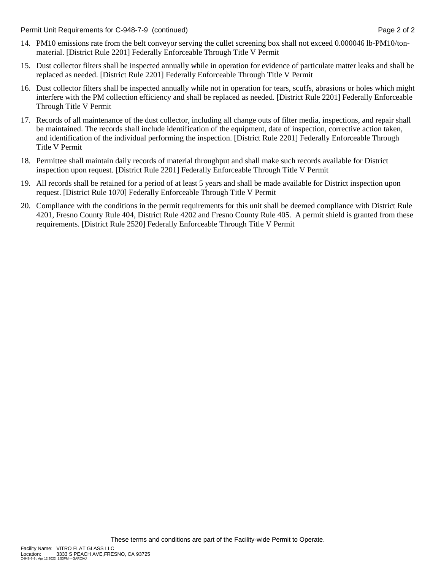Permit Unit Requirements for C-948-7-9 (continued) **Page 2** of 2

- 14. PM10 emissions rate from the belt conveyor serving the cullet screening box shall not exceed 0.000046 lb-PM10/tonmaterial. [District Rule 2201] Federally Enforceable Through Title V Permit
- 15. Dust collector filters shall be inspected annually while in operation for evidence of particulate matter leaks and shall be replaced as needed. [District Rule 2201] Federally Enforceable Through Title V Permit
- 16. Dust collector filters shall be inspected annually while not in operation for tears, scuffs, abrasions or holes which might interfere with the PM collection efficiency and shall be replaced as needed. [District Rule 2201] Federally Enforceable Through Title V Permit
- 17. Records of all maintenance of the dust collector, including all change outs of filter media, inspections, and repair shall be maintained. The records shall include identification of the equipment, date of inspection, corrective action taken, and identification of the individual performing the inspection. [District Rule 2201] Federally Enforceable Through Title V Permit
- 18. Permittee shall maintain daily records of material throughput and shall make such records available for District inspection upon request. [District Rule 2201] Federally Enforceable Through Title V Permit
- 19. All records shall be retained for a period of at least 5 years and shall be made available for District inspection upon request. [District Rule 1070] Federally Enforceable Through Title V Permit
- 20. Compliance with the conditions in the permit requirements for this unit shall be deemed compliance with District Rule 4201, Fresno County Rule 404, District Rule 4202 and Fresno County Rule 405. A permit shield is granted from these requirements. [District Rule 2520] Federally Enforceable Through Title V Permit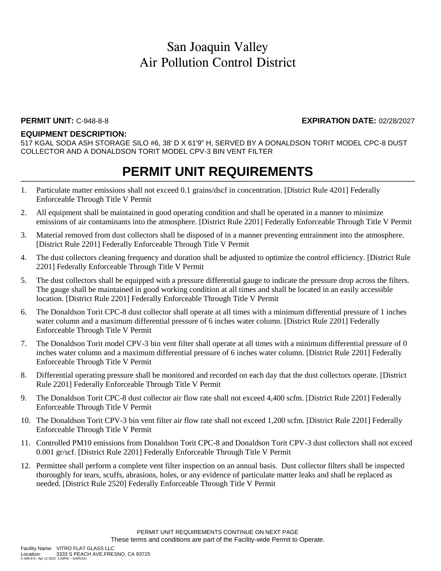### **PERMIT UNIT:** C-948-8-8 **EXPIRATION DATE:** 02/28/2027

### **EQUIPMENT DESCRIPTION:**

517 KGAL SODA ASH STORAGE SILO #6, 38' D X 61'9" H, SERVED BY A DONALDSON TORIT MODEL CPC-8 DUST COLLECTOR AND A DONALDSON TORIT MODEL CPV-3 BIN VENT FILTER

- 1. Particulate matter emissions shall not exceed 0.1 grains/dscf in concentration. [District Rule 4201] Federally Enforceable Through Title V Permit
- 2. All equipment shall be maintained in good operating condition and shall be operated in a manner to minimize emissions of air contaminants into the atmosphere. [District Rule 2201] Federally Enforceable Through Title V Permit
- 3. Material removed from dust collectors shall be disposed of in a manner preventing entrainment into the atmosphere. [District Rule 2201] Federally Enforceable Through Title V Permit
- 4. The dust collectors cleaning frequency and duration shall be adjusted to optimize the control efficiency. [District Rule 2201] Federally Enforceable Through Title V Permit
- 5. The dust collectors shall be equipped with a pressure differential gauge to indicate the pressure drop across the filters. The gauge shall be maintained in good working condition at all times and shall be located in an easily accessible location. [District Rule 2201] Federally Enforceable Through Title V Permit
- 6. The Donaldson Torit CPC-8 dust collector shall operate at all times with a minimum differential pressure of 1 inches water column and a maximum differential pressure of 6 inches water column. [District Rule 2201] Federally Enforceable Through Title V Permit
- 7. The Donaldson Torit model CPV-3 bin vent filter shall operate at all times with a minimum differential pressure of 0 inches water column and a maximum differential pressure of 6 inches water column. [District Rule 2201] Federally Enforceable Through Title V Permit
- 8. Differential operating pressure shall be monitored and recorded on each day that the dust collectors operate. [District Rule 2201] Federally Enforceable Through Title V Permit
- 9. The Donaldson Torit CPC-8 dust collector air flow rate shall not exceed 4,400 scfm. [District Rule 2201] Federally Enforceable Through Title V Permit
- 10. The Donaldson Torit CPV-3 bin vent filter air flow rate shall not exceed 1,200 scfm. [District Rule 2201] Federally Enforceable Through Title V Permit
- 11. Controlled PM10 emissions from Donaldson Torit CPC-8 and Donaldson Torit CPV-3 dust collectors shall not exceed 0.001 gr/scf. [District Rule 2201] Federally Enforceable Through Title V Permit
- 12. Permittee shall perform a complete vent filter inspection on an annual basis. Dust collector filters shall be inspected thoroughly for tears, scuffs, abrasions, holes, or any evidence of particulate matter leaks and shall be replaced as needed. [District Rule 2520] Federally Enforceable Through Title V Permit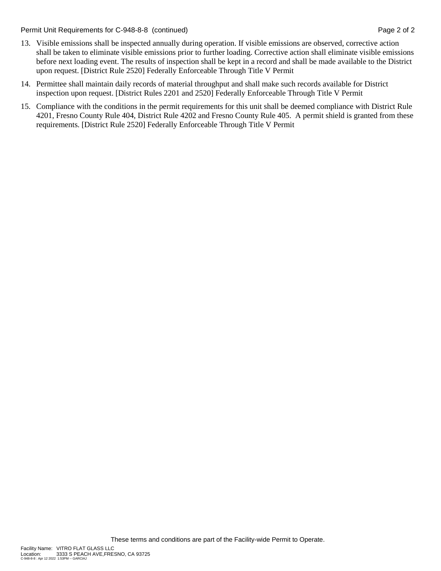Permit Unit Requirements for C-948-8-8 (continued) **Page 2** of 2

- 13. Visible emissions shall be inspected annually during operation. If visible emissions are observed, corrective action shall be taken to eliminate visible emissions prior to further loading. Corrective action shall eliminate visible emissions before next loading event. The results of inspection shall be kept in a record and shall be made available to the District upon request. [District Rule 2520] Federally Enforceable Through Title V Permit
- 14. Permittee shall maintain daily records of material throughput and shall make such records available for District inspection upon request. [District Rules 2201 and 2520] Federally Enforceable Through Title V Permit
- 15. Compliance with the conditions in the permit requirements for this unit shall be deemed compliance with District Rule 4201, Fresno County Rule 404, District Rule 4202 and Fresno County Rule 405. A permit shield is granted from these requirements. [District Rule 2520] Federally Enforceable Through Title V Permit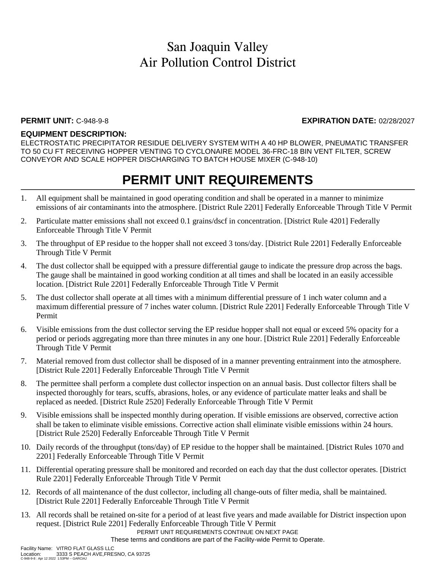### **PERMIT UNIT:** C-948-9-8 **EXPIRATION DATE:** 02/28/2027

### **EQUIPMENT DESCRIPTION:**

ELECTROSTATIC PRECIPITATOR RESIDUE DELIVERY SYSTEM WITH A 40 HP BLOWER, PNEUMATIC TRANSFER TO 50 CU FT RECEIVING HOPPER VENTING TO CYCLONAIRE MODEL 36-FRC-18 BIN VENT FILTER, SCREW CONVEYOR AND SCALE HOPPER DISCHARGING TO BATCH HOUSE MIXER (C-948-10)

## **PERMIT UNIT REQUIREMENTS**

- 1. All equipment shall be maintained in good operating condition and shall be operated in a manner to minimize emissions of air contaminants into the atmosphere. [District Rule 2201] Federally Enforceable Through Title V Permit
- 2. Particulate matter emissions shall not exceed 0.1 grains/dscf in concentration. [District Rule 4201] Federally Enforceable Through Title V Permit
- 3. The throughput of EP residue to the hopper shall not exceed 3 tons/day. [District Rule 2201] Federally Enforceable Through Title V Permit
- 4. The dust collector shall be equipped with a pressure differential gauge to indicate the pressure drop across the bags. The gauge shall be maintained in good working condition at all times and shall be located in an easily accessible location. [District Rule 2201] Federally Enforceable Through Title V Permit
- 5. The dust collector shall operate at all times with a minimum differential pressure of 1 inch water column and a maximum differential pressure of 7 inches water column. [District Rule 2201] Federally Enforceable Through Title V Permit
- 6. Visible emissions from the dust collector serving the EP residue hopper shall not equal or exceed 5% opacity for a period or periods aggregating more than three minutes in any one hour. [District Rule 2201] Federally Enforceable Through Title V Permit
- 7. Material removed from dust collector shall be disposed of in a manner preventing entrainment into the atmosphere. [District Rule 2201] Federally Enforceable Through Title V Permit
- 8. The permittee shall perform a complete dust collector inspection on an annual basis. Dust collector filters shall be inspected thoroughly for tears, scuffs, abrasions, holes, or any evidence of particulate matter leaks and shall be replaced as needed. [District Rule 2520] Federally Enforceable Through Title V Permit
- 9. Visible emissions shall be inspected monthly during operation. If visible emissions are observed, corrective action shall be taken to eliminate visible emissions. Corrective action shall eliminate visible emissions within 24 hours. [District Rule 2520] Federally Enforceable Through Title V Permit
- 10. Daily records of the throughput (tons/day) of EP residue to the hopper shall be maintained. [District Rules 1070 and 2201] Federally Enforceable Through Title V Permit
- 11. Differential operating pressure shall be monitored and recorded on each day that the dust collector operates. [District Rule 2201] Federally Enforceable Through Title V Permit
- 12. Records of all maintenance of the dust collector, including all change-outs of filter media, shall be maintained. [District Rule 2201] Federally Enforceable Through Title V Permit
- 13. All records shall be retained on-site for a period of at least five years and made available for District inspection upon request. [District Rule 2201] Federally Enforceable Through Title V Permit

PERMIT UNIT REQUIREMENTS CONTINUE ON NEXT PAGE

These terms and conditions are part of the Facility-wide Permit to Operate.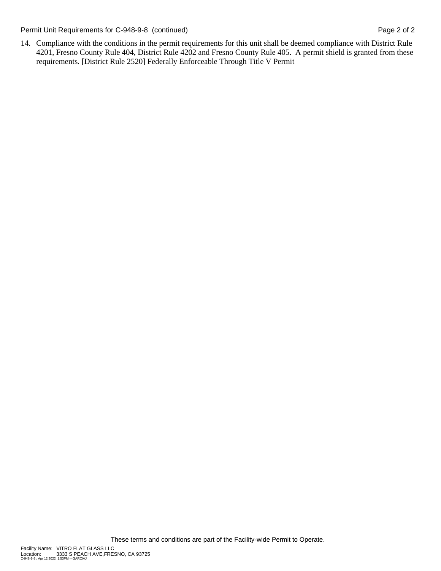Permit Unit Requirements for C-948-9-8 (continued) Page 2 of 2

14. Compliance with the conditions in the permit requirements for this unit shall be deemed compliance with District Rule 4201, Fresno County Rule 404, District Rule 4202 and Fresno County Rule 405. A permit shield is granted from these requirements. [District Rule 2520] Federally Enforceable Through Title V Permit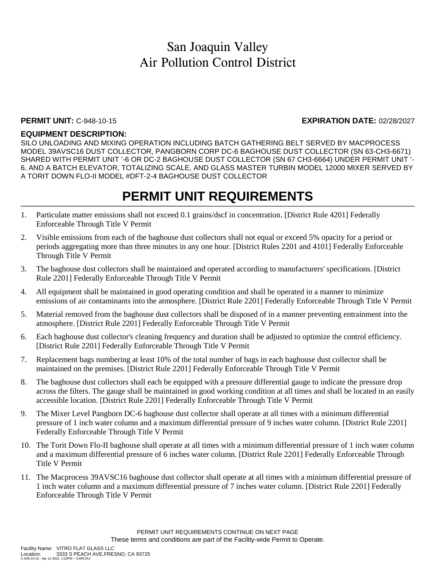#### **PERMIT UNIT:** C-948-10-15 **EXPIRATION DATE:** 02/28/2027

### **EQUIPMENT DESCRIPTION:**

SILO UNLOADING AND MIXING OPERATION INCLUDING BATCH GATHERING BELT SERVED BY MACPROCESS MODEL 39AVSC16 DUST COLLECTOR, PANGBORN CORP DC-6 BAGHOUSE DUST COLLECTOR (SN 63-CH3-6671) SHARED WITH PERMIT UNIT '-6 OR DC-2 BAGHOUSE DUST COLLECTOR (SN 67 CH3-6664) UNDER PERMIT UNIT '- 6, AND A BATCH ELEVATOR, TOTALIZING SCALE, AND GLASS MASTER TURBIN MODEL 12000 MIXER SERVED BY A TORIT DOWN FLO-II MODEL #DFT-2-4 BAGHOUSE DUST COLLECTOR

- 1. Particulate matter emissions shall not exceed 0.1 grains/dscf in concentration. [District Rule 4201] Federally Enforceable Through Title V Permit
- 2. Visible emissions from each of the baghouse dust collectors shall not equal or exceed 5% opacity for a period or periods aggregating more than three minutes in any one hour. [District Rules 2201 and 4101] Federally Enforceable Through Title V Permit
- 3. The baghouse dust collectors shall be maintained and operated according to manufacturers' specifications. [District Rule 2201] Federally Enforceable Through Title V Permit
- 4. All equipment shall be maintained in good operating condition and shall be operated in a manner to minimize emissions of air contaminants into the atmosphere. [District Rule 2201] Federally Enforceable Through Title V Permit
- 5. Material removed from the baghouse dust collectors shall be disposed of in a manner preventing entrainment into the atmosphere. [District Rule 2201] Federally Enforceable Through Title V Permit
- 6. Each baghouse dust collector's cleaning frequency and duration shall be adjusted to optimize the control efficiency. [District Rule 2201] Federally Enforceable Through Title V Permit
- 7. Replacement bags numbering at least 10% of the total number of bags in each baghouse dust collector shall be maintained on the premises. [District Rule 2201] Federally Enforceable Through Title V Permit
- 8. The baghouse dust collectors shall each be equipped with a pressure differential gauge to indicate the pressure drop across the filters. The gauge shall be maintained in good working condition at all times and shall be located in an easily accessible location. [District Rule 2201] Federally Enforceable Through Title V Permit
- 9. The Mixer Level Pangborn DC-6 baghouse dust collector shall operate at all times with a minimum differential pressure of 1 inch water column and a maximum differential pressure of 9 inches water column. [District Rule 2201] Federally Enforceable Through Title V Permit
- 10. The Torit Down Flo-II baghouse shall operate at all times with a minimum differential pressure of 1 inch water column and a maximum differential pressure of 6 inches water column. [District Rule 2201] Federally Enforceable Through Title V Permit
- 11. The Macprocess 39AVSC16 baghouse dust collector shall operate at all times with a minimum differential pressure of 1 inch water column and a maximum differential pressure of 7 inches water column. [District Rule 2201] Federally Enforceable Through Title V Permit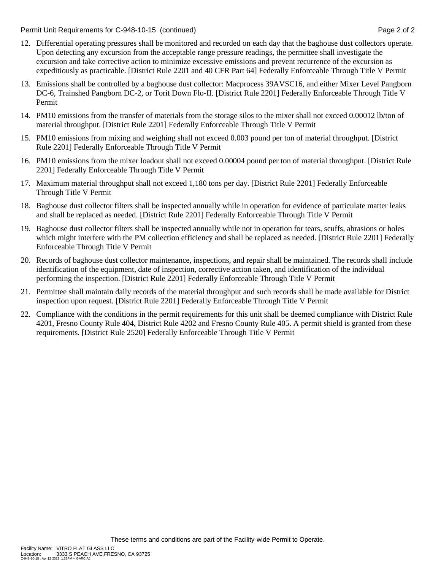Permit Unit Requirements for C-948-10-15 (continued) example 2 of 2 and 2 of 2

- 12. Differential operating pressures shall be monitored and recorded on each day that the baghouse dust collectors operate. Upon detecting any excursion from the acceptable range pressure readings, the permittee shall investigate the excursion and take corrective action to minimize excessive emissions and prevent recurrence of the excursion as expeditiously as practicable. [District Rule 2201 and 40 CFR Part 64] Federally Enforceable Through Title V Permit
- 13. Emissions shall be controlled by a baghouse dust collector: Macprocess 39AVSC16, and either Mixer Level Pangborn DC-6, Trainshed Pangborn DC-2, or Torit Down Flo-II. [District Rule 2201] Federally Enforceable Through Title V Permit
- 14. PM10 emissions from the transfer of materials from the storage silos to the mixer shall not exceed 0.00012 lb/ton of material throughput. [District Rule 2201] Federally Enforceable Through Title V Permit
- 15. PM10 emissions from mixing and weighing shall not exceed 0.003 pound per ton of material throughput. [District Rule 2201] Federally Enforceable Through Title V Permit
- 16. PM10 emissions from the mixer loadout shall not exceed 0.00004 pound per ton of material throughput. [District Rule 2201] Federally Enforceable Through Title V Permit
- 17. Maximum material throughput shall not exceed 1,180 tons per day. [District Rule 2201] Federally Enforceable Through Title V Permit
- 18. Baghouse dust collector filters shall be inspected annually while in operation for evidence of particulate matter leaks and shall be replaced as needed. [District Rule 2201] Federally Enforceable Through Title V Permit
- 19. Baghouse dust collector filters shall be inspected annually while not in operation for tears, scuffs, abrasions or holes which might interfere with the PM collection efficiency and shall be replaced as needed. [District Rule 2201] Federally Enforceable Through Title V Permit
- 20. Records of baghouse dust collector maintenance, inspections, and repair shall be maintained. The records shall include identification of the equipment, date of inspection, corrective action taken, and identification of the individual performing the inspection. [District Rule 2201] Federally Enforceable Through Title V Permit
- 21. Permittee shall maintain daily records of the material throughput and such records shall be made available for District inspection upon request. [District Rule 2201] Federally Enforceable Through Title V Permit
- 22. Compliance with the conditions in the permit requirements for this unit shall be deemed compliance with District Rule 4201, Fresno County Rule 404, District Rule 4202 and Fresno County Rule 405. A permit shield is granted from these requirements. [District Rule 2520] Federally Enforceable Through Title V Permit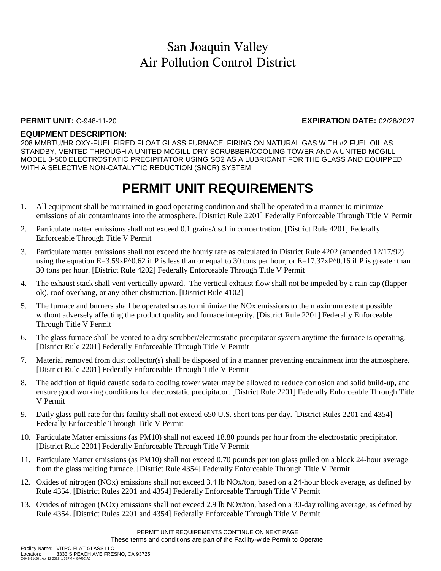### **PERMIT UNIT:** C-948-11-20 **EXPIRATION DATE:** 02/28/2027

### **EQUIPMENT DESCRIPTION:**

208 MMBTU/HR OXY-FUEL FIRED FLOAT GLASS FURNACE, FIRING ON NATURAL GAS WITH #2 FUEL OIL AS STANDBY, VENTED THROUGH A UNITED MCGILL DRY SCRUBBER/COOLING TOWER AND A UNITED MCGILL MODEL 3-500 ELECTROSTATIC PRECIPITATOR USING SO2 AS A LUBRICANT FOR THE GLASS AND EQUIPPED WITH A SELECTIVE NON-CATALYTIC REDUCTION (SNCR) SYSTEM

- 1. All equipment shall be maintained in good operating condition and shall be operated in a manner to minimize emissions of air contaminants into the atmosphere. [District Rule 2201] Federally Enforceable Through Title V Permit
- 2. Particulate matter emissions shall not exceed 0.1 grains/dscf in concentration. [District Rule 4201] Federally Enforceable Through Title V Permit
- 3. Particulate matter emissions shall not exceed the hourly rate as calculated in District Rule 4202 (amended 12/17/92) using the equation  $E=3.59xP^{\wedge}0.62$  if P is less than or equal to 30 tons per hour, or  $E=17.37xP^{\wedge}0.16$  if P is greater than 30 tons per hour. [District Rule 4202] Federally Enforceable Through Title V Permit
- 4. The exhaust stack shall vent vertically upward. The vertical exhaust flow shall not be impeded by a rain cap (flapper ok), roof overhang, or any other obstruction. [District Rule 4102]
- 5. The furnace and burners shall be operated so as to minimize the NOx emissions to the maximum extent possible without adversely affecting the product quality and furnace integrity. [District Rule 2201] Federally Enforceable Through Title V Permit
- 6. The glass furnace shall be vented to a dry scrubber/electrostatic precipitator system anytime the furnace is operating. [District Rule 2201] Federally Enforceable Through Title V Permit
- 7. Material removed from dust collector(s) shall be disposed of in a manner preventing entrainment into the atmosphere. [District Rule 2201] Federally Enforceable Through Title V Permit
- 8. The addition of liquid caustic soda to cooling tower water may be allowed to reduce corrosion and solid build-up, and ensure good working conditions for electrostatic precipitator. [District Rule 2201] Federally Enforceable Through Title V Permit
- 9. Daily glass pull rate for this facility shall not exceed 650 U.S. short tons per day. [District Rules 2201 and 4354] Federally Enforceable Through Title V Permit
- 10. Particulate Matter emissions (as PM10) shall not exceed 18.80 pounds per hour from the electrostatic precipitator. [District Rule 2201] Federally Enforceable Through Title V Permit
- 11. Particulate Matter emissions (as PM10) shall not exceed 0.70 pounds per ton glass pulled on a block 24-hour average from the glass melting furnace. [District Rule 4354] Federally Enforceable Through Title V Permit
- 12. Oxides of nitrogen (NOx) emissions shall not exceed 3.4 lb NOx/ton, based on a 24-hour block average, as defined by Rule 4354. [District Rules 2201 and 4354] Federally Enforceable Through Title V Permit
- 13. Oxides of nitrogen (NOx) emissions shall not exceed 2.9 lb NOx/ton, based on a 30-day rolling average, as defined by Rule 4354. [District Rules 2201 and 4354] Federally Enforceable Through Title V Permit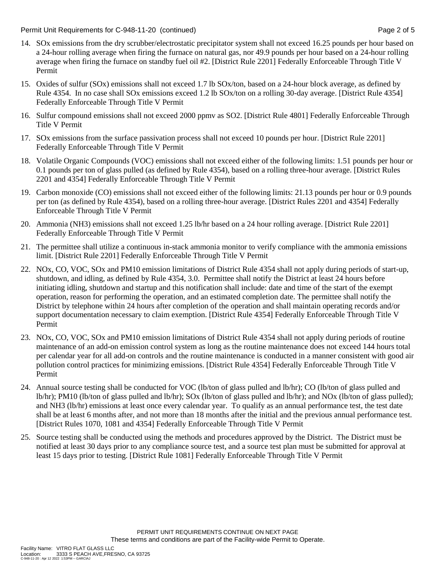Permit Unit Requirements for C-948-11-20 (continued) example 2 and the state of the Page 2 of 5

- 14. SOx emissions from the dry scrubber/electrostatic precipitator system shall not exceed 16.25 pounds per hour based on a 24-hour rolling average when firing the furnace on natural gas, nor 49.9 pounds per hour based on a 24-hour rolling average when firing the furnace on standby fuel oil #2. [District Rule 2201] Federally Enforceable Through Title V Permit
- 15. Oxides of sulfur (SOx) emissions shall not exceed 1.7 lb SOx/ton, based on a 24-hour block average, as defined by Rule 4354. In no case shall SOx emissions exceed 1.2 lb SOx/ton on a rolling 30-day average. [District Rule 4354] Federally Enforceable Through Title V Permit
- 16. Sulfur compound emissions shall not exceed 2000 ppmv as SO2. [District Rule 4801] Federally Enforceable Through Title V Permit
- 17. SOx emissions from the surface passivation process shall not exceed 10 pounds per hour. [District Rule 2201] Federally Enforceable Through Title V Permit
- 18. Volatile Organic Compounds (VOC) emissions shall not exceed either of the following limits: 1.51 pounds per hour or 0.1 pounds per ton of glass pulled (as defined by Rule 4354), based on a rolling three-hour average. [District Rules 2201 and 4354] Federally Enforceable Through Title V Permit
- 19. Carbon monoxide (CO) emissions shall not exceed either of the following limits: 21.13 pounds per hour or 0.9 pounds per ton (as defined by Rule 4354), based on a rolling three-hour average. [District Rules 2201 and 4354] Federally Enforceable Through Title V Permit
- 20. Ammonia (NH3) emissions shall not exceed 1.25 lb/hr based on a 24 hour rolling average. [District Rule 2201] Federally Enforceable Through Title V Permit
- 21. The permittee shall utilize a continuous in-stack ammonia monitor to verify compliance with the ammonia emissions limit. [District Rule 2201] Federally Enforceable Through Title V Permit
- 22. NOx, CO, VOC, SOx and PM10 emission limitations of District Rule 4354 shall not apply during periods of start-up, shutdown, and idling, as defined by Rule 4354, 3.0. Permittee shall notify the District at least 24 hours before initiating idling, shutdown and startup and this notification shall include: date and time of the start of the exempt operation, reason for performing the operation, and an estimated completion date. The permittee shall notify the District by telephone within 24 hours after completion of the operation and shall maintain operating records and/or support documentation necessary to claim exemption. [District Rule 4354] Federally Enforceable Through Title V Permit
- 23. NOx, CO, VOC, SOx and PM10 emission limitations of District Rule 4354 shall not apply during periods of routine maintenance of an add-on emission control system as long as the routine maintenance does not exceed 144 hours total per calendar year for all add-on controls and the routine maintenance is conducted in a manner consistent with good air pollution control practices for minimizing emissions. [District Rule 4354] Federally Enforceable Through Title V Permit
- 24. Annual source testing shall be conducted for VOC (lb/ton of glass pulled and lb/hr); CO (lb/ton of glass pulled and lb/hr); PM10 (lb/ton of glass pulled and lb/hr); SOx (lb/ton of glass pulled and lb/hr); and NOx (lb/ton of glass pulled); and NH3 (lb/hr) emissions at least once every calendar year. To qualify as an annual performance test, the test date shall be at least 6 months after, and not more than 18 months after the initial and the previous annual performance test. [District Rules 1070, 1081 and 4354] Federally Enforceable Through Title V Permit
- 25. Source testing shall be conducted using the methods and procedures approved by the District. The District must be notified at least 30 days prior to any compliance source test, and a source test plan must be submitted for approval at least 15 days prior to testing. [District Rule 1081] Federally Enforceable Through Title V Permit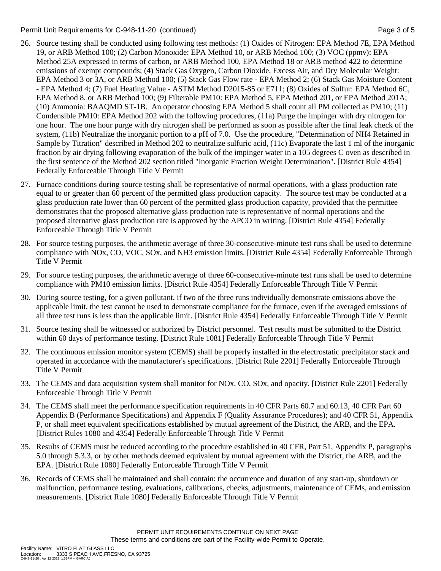### Permit Unit Requirements for C-948-11-20 (continued) example 3 of 5

- 26. Source testing shall be conducted using following test methods: (1) Oxides of Nitrogen: EPA Method 7E, EPA Method 19, or ARB Method 100; (2) Carbon Monoxide: EPA Method 10, or ARB Method 100; (3) VOC (ppmv): EPA Method 25A expressed in terms of carbon, or ARB Method 100, EPA Method 18 or ARB method 422 to determine emissions of exempt compounds; (4) Stack Gas Oxygen, Carbon Dioxide, Excess Air, and Dry Molecular Weight: EPA Method 3 or 3A, or ARB Method 100; (5) Stack Gas Flow rate - EPA Method 2; (6) Stack Gas Moisture Content - EPA Method 4; (7) Fuel Heating Value - ASTM Method D2015-85 or E711; (8) Oxides of Sulfur: EPA Method 6C, EPA Method 8, or ARB Method 100; (9) Filterable PM10: EPA Method 5, EPA Method 201, or EPA Method 201A; (10) Ammonia: BAAQMD ST-1B. An operator choosing EPA Method 5 shall count all PM collected as PM10; (11) Condensible PM10: EPA Method 202 with the following procedures, (11a) Purge the impinger with dry nitrogen for one hour. The one hour purge with dry nitrogen shall be performed as soon as possible after the final leak check of the system, (11b) Neutralize the inorganic portion to a pH of 7.0. Use the procedure, "Determination of NH4 Retained in Sample by Titration" described in Method 202 to neutralize sulfuric acid, (11c) Evaporate the last 1 ml of the inorganic fraction by air drying following evaporation of the bulk of the impinger water in a 105 degrees C oven as described in the first sentence of the Method 202 section titled "Inorganic Fraction Weight Determination". [District Rule 4354] Federally Enforceable Through Title V Permit
- 27. Furnace conditions during source testing shall be representative of normal operations, with a glass production rate equal to or greater than 60 percent of the permitted glass production capacity. The source test may be conducted at a glass production rate lower than 60 percent of the permitted glass production capacity, provided that the permittee demonstrates that the proposed alternative glass production rate is representative of normal operations and the proposed alternative glass production rate is approved by the APCO in writing. [District Rule 4354] Federally Enforceable Through Title V Permit
- 28. For source testing purposes, the arithmetic average of three 30-consecutive-minute test runs shall be used to determine compliance with NOx, CO, VOC, SOx, and NH3 emission limits. [District Rule 4354] Federally Enforceable Through Title V Permit
- 29. For source testing purposes, the arithmetic average of three 60-consecutive-minute test runs shall be used to determine compliance with PM10 emission limits. [District Rule 4354] Federally Enforceable Through Title V Permit
- 30. During source testing, for a given pollutant, if two of the three runs individually demonstrate emissions above the applicable limit, the test cannot be used to demonstrate compliance for the furnace, even if the averaged emissions of all three test runs is less than the applicable limit. [District Rule 4354] Federally Enforceable Through Title V Permit
- 31. Source testing shall be witnessed or authorized by District personnel. Test results must be submitted to the District within 60 days of performance testing. [District Rule 1081] Federally Enforceable Through Title V Permit
- 32. The continuous emission monitor system (CEMS) shall be properly installed in the electrostatic precipitator stack and operated in accordance with the manufacturer's specifications. [District Rule 2201] Federally Enforceable Through Title V Permit
- 33. The CEMS and data acquisition system shall monitor for NOx, CO, SOx, and opacity. [District Rule 2201] Federally Enforceable Through Title V Permit
- 34. The CEMS shall meet the performance specification requirements in 40 CFR Parts 60.7 and 60.13, 40 CFR Part 60 Appendix B (Performance Specifications) and Appendix F (Quality Assurance Procedures); and 40 CFR 51, Appendix P, or shall meet equivalent specifications established by mutual agreement of the District, the ARB, and the EPA. [District Rules 1080 and 4354] Federally Enforceable Through Title V Permit
- 35. Results of CEMS must be reduced according to the procedure established in 40 CFR, Part 51, Appendix P, paragraphs 5.0 through 5.3.3, or by other methods deemed equivalent by mutual agreement with the District, the ARB, and the EPA. [District Rule 1080] Federally Enforceable Through Title V Permit
- 36. Records of CEMS shall be maintained and shall contain: the occurrence and duration of any start-up, shutdown or malfunction, performance testing, evaluations, calibrations, checks, adjustments, maintenance of CEMs, and emission measurements. [District Rule 1080] Federally Enforceable Through Title V Permit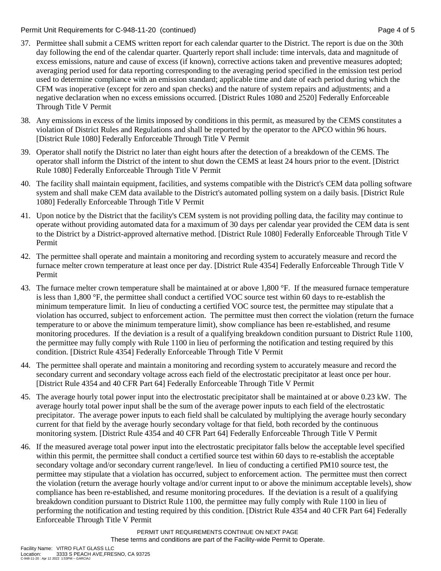Permit Unit Requirements for C-948-11-20 (continued) example 2 and the state of 5 and 5 and 7 and 7 and 7 and 7 and 7 and 7 and 7 and 7 and 7 and 7 and 7 and 7 and 7 and 7 and 7 and 7 and 7 and 7 and 7 and 7 and 7 and 7 an

- 37. Permittee shall submit a CEMS written report for each calendar quarter to the District. The report is due on the 30th day following the end of the calendar quarter. Quarterly report shall include: time intervals, data and magnitude of excess emissions, nature and cause of excess (if known), corrective actions taken and preventive measures adopted; averaging period used for data reporting corresponding to the averaging period specified in the emission test period used to determine compliance with an emission standard; applicable time and date of each period during which the CFM was inoperative (except for zero and span checks) and the nature of system repairs and adjustments; and a negative declaration when no excess emissions occurred. [District Rules 1080 and 2520] Federally Enforceable Through Title V Permit
- 38. Any emissions in excess of the limits imposed by conditions in this permit, as measured by the CEMS constitutes a violation of District Rules and Regulations and shall be reported by the operator to the APCO within 96 hours. [District Rule 1080] Federally Enforceable Through Title V Permit
- 39. Operator shall notify the District no later than eight hours after the detection of a breakdown of the CEMS. The operator shall inform the District of the intent to shut down the CEMS at least 24 hours prior to the event. [District Rule 1080] Federally Enforceable Through Title V Permit
- 40. The facility shall maintain equipment, facilities, and systems compatible with the District's CEM data polling software system and shall make CEM data available to the District's automated polling system on a daily basis. [District Rule 1080] Federally Enforceable Through Title V Permit
- 41. Upon notice by the District that the facility's CEM system is not providing polling data, the facility may continue to operate without providing automated data for a maximum of 30 days per calendar year provided the CEM data is sent to the District by a District-approved alternative method. [District Rule 1080] Federally Enforceable Through Title V Permit
- 42. The permittee shall operate and maintain a monitoring and recording system to accurately measure and record the furnace melter crown temperature at least once per day. [District Rule 4354] Federally Enforceable Through Title V Permit
- 43. The furnace melter crown temperature shall be maintained at or above 1,800 °F. If the measured furnace temperature is less than 1,800 °F, the permittee shall conduct a certified VOC source test within 60 days to re-establish the minimum temperature limit. In lieu of conducting a certified VOC source test, the permittee may stipulate that a violation has occurred, subject to enforcement action. The permittee must then correct the violation (return the furnace temperature to or above the minimum temperature limit), show compliance has been re-established, and resume monitoring procedures. If the deviation is a result of a qualifying breakdown condition pursuant to District Rule 1100, the permittee may fully comply with Rule 1100 in lieu of performing the notification and testing required by this condition. [District Rule 4354] Federally Enforceable Through Title V Permit
- 44. The permittee shall operate and maintain a monitoring and recording system to accurately measure and record the secondary current and secondary voltage across each field of the electrostatic precipitator at least once per hour. [District Rule 4354 and 40 CFR Part 64] Federally Enforceable Through Title V Permit
- 45. The average hourly total power input into the electrostatic precipitator shall be maintained at or above 0.23 kW. The average hourly total power input shall be the sum of the average power inputs to each field of the electrostatic precipitator. The average power inputs to each field shall be calculated by multiplying the average hourly secondary current for that field by the average hourly secondary voltage for that field, both recorded by the continuous monitoring system. [District Rule 4354 and 40 CFR Part 64] Federally Enforceable Through Title V Permit
- 46. If the measured average total power input into the electrostatic precipitator falls below the acceptable level specified within this permit, the permittee shall conduct a certified source test within 60 days to re-establish the acceptable secondary voltage and/or secondary current range/level. In lieu of conducting a certified PM10 source test, the permittee may stipulate that a violation has occurred, subject to enforcement action. The permittee must then correct the violation (return the average hourly voltage and/or current input to or above the minimum acceptable levels), show compliance has been re-established, and resume monitoring procedures. If the deviation is a result of a qualifying breakdown condition pursuant to District Rule 1100, the permittee may fully comply with Rule 1100 in lieu of performing the notification and testing required by this condition. [District Rule 4354 and 40 CFR Part 64] Federally Enforceable Through Title V Permit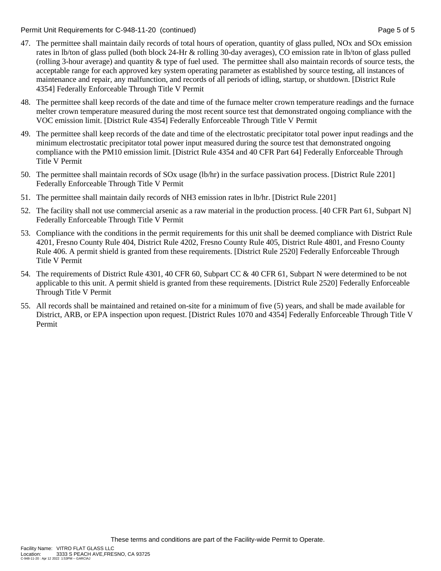Permit Unit Requirements for C-948-11-20 (continued) example 3 and the state of 5 of 5 of 5 of 5 of 5

- 47. The permittee shall maintain daily records of total hours of operation, quantity of glass pulled, NOx and SOx emission rates in lb/ton of glass pulled (both block 24-Hr & rolling 30-day averages), CO emission rate in lb/ton of glass pulled (rolling 3-hour average) and quantity & type of fuel used. The permittee shall also maintain records of source tests, the acceptable range for each approved key system operating parameter as established by source testing, all instances of maintenance and repair, any malfunction, and records of all periods of idling, startup, or shutdown. [District Rule 4354] Federally Enforceable Through Title V Permit
- 48. The permittee shall keep records of the date and time of the furnace melter crown temperature readings and the furnace melter crown temperature measured during the most recent source test that demonstrated ongoing compliance with the VOC emission limit. [District Rule 4354] Federally Enforceable Through Title V Permit
- 49. The permittee shall keep records of the date and time of the electrostatic precipitator total power input readings and the minimum electrostatic precipitator total power input measured during the source test that demonstrated ongoing compliance with the PM10 emission limit. [District Rule 4354 and 40 CFR Part 64] Federally Enforceable Through Title V Permit
- 50. The permittee shall maintain records of SOx usage (lb/hr) in the surface passivation process. [District Rule 2201] Federally Enforceable Through Title V Permit
- 51. The permittee shall maintain daily records of NH3 emission rates in lb/hr. [District Rule 2201]
- 52. The facility shall not use commercial arsenic as a raw material in the production process. [40 CFR Part 61, Subpart N] Federally Enforceable Through Title V Permit
- 53. Compliance with the conditions in the permit requirements for this unit shall be deemed compliance with District Rule 4201, Fresno County Rule 404, District Rule 4202, Fresno County Rule 405, District Rule 4801, and Fresno County Rule 406. A permit shield is granted from these requirements. [District Rule 2520] Federally Enforceable Through Title V Permit
- 54. The requirements of District Rule 4301, 40 CFR 60, Subpart CC & 40 CFR 61, Subpart N were determined to be not applicable to this unit. A permit shield is granted from these requirements. [District Rule 2520] Federally Enforceable Through Title V Permit
- 55. All records shall be maintained and retained on-site for a minimum of five (5) years, and shall be made available for District, ARB, or EPA inspection upon request. [District Rules 1070 and 4354] Federally Enforceable Through Title V Permit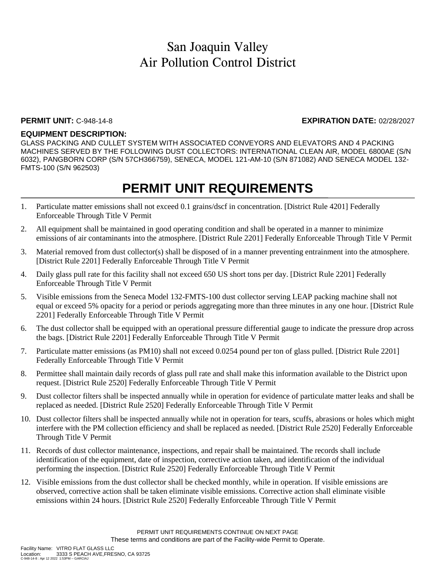### **PERMIT UNIT:** C-948-14-8 **EXPIRATION DATE:** 02/28/2027

### **EQUIPMENT DESCRIPTION:**

GLASS PACKING AND CULLET SYSTEM WITH ASSOCIATED CONVEYORS AND ELEVATORS AND 4 PACKING MACHINES SERVED BY THE FOLLOWING DUST COLLECTORS: INTERNATIONAL CLEAN AIR, MODEL 6800AE (S/N 6032), PANGBORN CORP (S/N 57CH366759), SENECA, MODEL 121-AM-10 (S/N 871082) AND SENECA MODEL 132- FMTS-100 (S/N 962503)

- 1. Particulate matter emissions shall not exceed 0.1 grains/dscf in concentration. [District Rule 4201] Federally Enforceable Through Title V Permit
- 2. All equipment shall be maintained in good operating condition and shall be operated in a manner to minimize emissions of air contaminants into the atmosphere. [District Rule 2201] Federally Enforceable Through Title V Permit
- 3. Material removed from dust collector(s) shall be disposed of in a manner preventing entrainment into the atmosphere. [District Rule 2201] Federally Enforceable Through Title V Permit
- 4. Daily glass pull rate for this facility shall not exceed 650 US short tons per day. [District Rule 2201] Federally Enforceable Through Title V Permit
- 5. Visible emissions from the Seneca Model 132-FMTS-100 dust collector serving LEAP packing machine shall not equal or exceed 5% opacity for a period or periods aggregating more than three minutes in any one hour. [District Rule 2201] Federally Enforceable Through Title V Permit
- 6. The dust collector shall be equipped with an operational pressure differential gauge to indicate the pressure drop across the bags. [District Rule 2201] Federally Enforceable Through Title V Permit
- 7. Particulate matter emissions (as PM10) shall not exceed 0.0254 pound per ton of glass pulled. [District Rule 2201] Federally Enforceable Through Title V Permit
- 8. Permittee shall maintain daily records of glass pull rate and shall make this information available to the District upon request. [District Rule 2520] Federally Enforceable Through Title V Permit
- 9. Dust collector filters shall be inspected annually while in operation for evidence of particulate matter leaks and shall be replaced as needed. [District Rule 2520] Federally Enforceable Through Title V Permit
- 10. Dust collector filters shall be inspected annually while not in operation for tears, scuffs, abrasions or holes which might interfere with the PM collection efficiency and shall be replaced as needed. [District Rule 2520] Federally Enforceable Through Title V Permit
- 11. Records of dust collector maintenance, inspections, and repair shall be maintained. The records shall include identification of the equipment, date of inspection, corrective action taken, and identification of the individual performing the inspection. [District Rule 2520] Federally Enforceable Through Title V Permit
- 12. Visible emissions from the dust collector shall be checked monthly, while in operation. If visible emissions are observed, corrective action shall be taken eliminate visible emissions. Corrective action shall eliminate visible emissions within 24 hours. [District Rule 2520] Federally Enforceable Through Title V Permit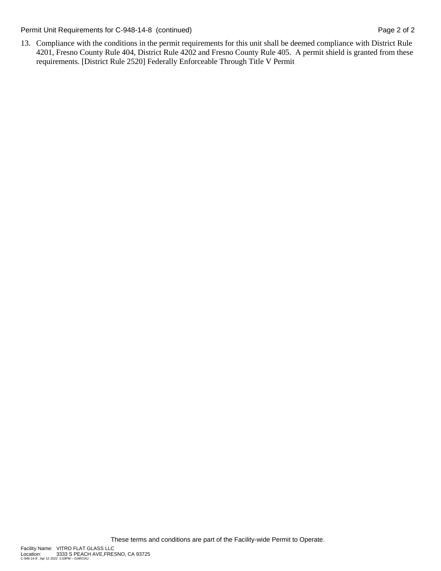Permit Unit Requirements for C-948-14-8 (continued) Page 2 of 2

13. Compliance with the conditions in the permit requirements for this unit shall be deemed compliance with District Rule 4201, Fresno County Rule 404, District Rule 4202 and Fresno County Rule 405. A permit shield is granted from these requirements. [District Rule 2520] Federally Enforceable Through Title V Permit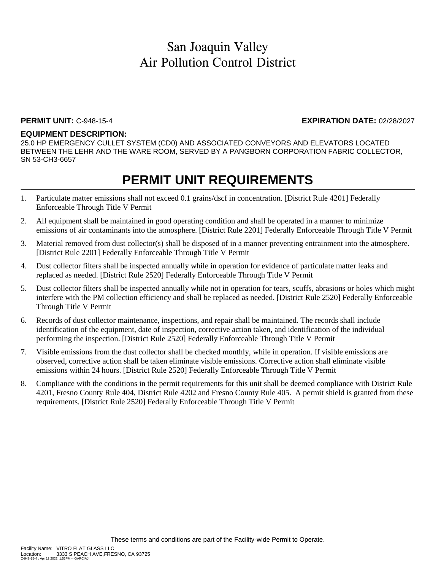#### **PERMIT UNIT:** C-948-15-4 **EXPIRATION DATE:** 02/28/2027

#### **EQUIPMENT DESCRIPTION:**

25.0 HP EMERGENCY CULLET SYSTEM (CD0) AND ASSOCIATED CONVEYORS AND ELEVATORS LOCATED BETWEEN THE LEHR AND THE WARE ROOM, SERVED BY A PANGBORN CORPORATION FABRIC COLLECTOR, SN 53-CH3-6657

- 1. Particulate matter emissions shall not exceed 0.1 grains/dscf in concentration. [District Rule 4201] Federally Enforceable Through Title V Permit
- 2. All equipment shall be maintained in good operating condition and shall be operated in a manner to minimize emissions of air contaminants into the atmosphere. [District Rule 2201] Federally Enforceable Through Title V Permit
- 3. Material removed from dust collector(s) shall be disposed of in a manner preventing entrainment into the atmosphere. [District Rule 2201] Federally Enforceable Through Title V Permit
- 4. Dust collector filters shall be inspected annually while in operation for evidence of particulate matter leaks and replaced as needed. [District Rule 2520] Federally Enforceable Through Title V Permit
- 5. Dust collector filters shall be inspected annually while not in operation for tears, scuffs, abrasions or holes which might interfere with the PM collection efficiency and shall be replaced as needed. [District Rule 2520] Federally Enforceable Through Title V Permit
- 6. Records of dust collector maintenance, inspections, and repair shall be maintained. The records shall include identification of the equipment, date of inspection, corrective action taken, and identification of the individual performing the inspection. [District Rule 2520] Federally Enforceable Through Title V Permit
- 7. Visible emissions from the dust collector shall be checked monthly, while in operation. If visible emissions are observed, corrective action shall be taken eliminate visible emissions. Corrective action shall eliminate visible emissions within 24 hours. [District Rule 2520] Federally Enforceable Through Title V Permit
- 8. Compliance with the conditions in the permit requirements for this unit shall be deemed compliance with District Rule 4201, Fresno County Rule 404, District Rule 4202 and Fresno County Rule 405. A permit shield is granted from these requirements. [District Rule 2520] Federally Enforceable Through Title V Permit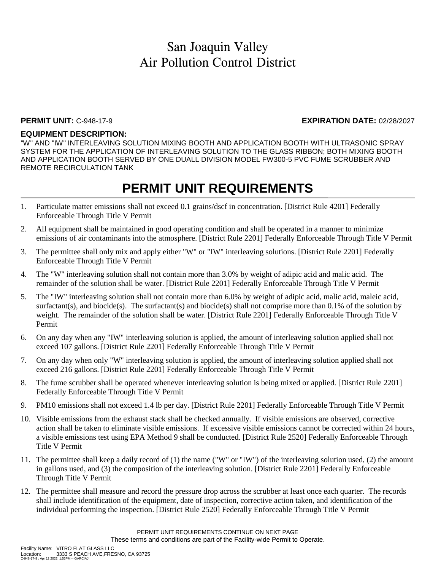### **PERMIT UNIT:** C-948-17-9 **EXPIRATION DATE:** 02/28/2027

### **EQUIPMENT DESCRIPTION:**

"W" AND "IW" INTERLEAVING SOLUTION MIXING BOOTH AND APPLICATION BOOTH WITH ULTRASONIC SPRAY SYSTEM FOR THE APPLICATION OF INTERLEAVING SOLUTION TO THE GLASS RIBBON; BOTH MIXING BOOTH AND APPLICATION BOOTH SERVED BY ONE DUALL DIVISION MODEL FW300-5 PVC FUME SCRUBBER AND REMOTE RECIRCULATION TANK

- 1. Particulate matter emissions shall not exceed 0.1 grains/dscf in concentration. [District Rule 4201] Federally Enforceable Through Title V Permit
- 2. All equipment shall be maintained in good operating condition and shall be operated in a manner to minimize emissions of air contaminants into the atmosphere. [District Rule 2201] Federally Enforceable Through Title V Permit
- 3. The permittee shall only mix and apply either "W" or "IW" interleaving solutions. [District Rule 2201] Federally Enforceable Through Title V Permit
- 4. The "W" interleaving solution shall not contain more than 3.0% by weight of adipic acid and malic acid. The remainder of the solution shall be water. [District Rule 2201] Federally Enforceable Through Title V Permit
- 5. The "IW" interleaving solution shall not contain more than 6.0% by weight of adipic acid, malic acid, maleic acid, surfactant(s), and biocide(s). The surfactant(s) and biocide(s) shall not comprise more than 0.1% of the solution by weight. The remainder of the solution shall be water. [District Rule 2201] Federally Enforceable Through Title V Permit
- 6. On any day when any "IW" interleaving solution is applied, the amount of interleaving solution applied shall not exceed 107 gallons. [District Rule 2201] Federally Enforceable Through Title V Permit
- 7. On any day when only "W" interleaving solution is applied, the amount of interleaving solution applied shall not exceed 216 gallons. [District Rule 2201] Federally Enforceable Through Title V Permit
- 8. The fume scrubber shall be operated whenever interleaving solution is being mixed or applied. [District Rule 2201] Federally Enforceable Through Title V Permit
- 9. PM10 emissions shall not exceed 1.4 lb per day. [District Rule 2201] Federally Enforceable Through Title V Permit
- 10. Visible emissions from the exhaust stack shall be checked annually. If visible emissions are observed, corrective action shall be taken to eliminate visible emissions. If excessive visible emissions cannot be corrected within 24 hours, a visible emissions test using EPA Method 9 shall be conducted. [District Rule 2520] Federally Enforceable Through Title V Permit
- 11. The permittee shall keep a daily record of (1) the name ("W" or "IW") of the interleaving solution used, (2) the amount in gallons used, and (3) the composition of the interleaving solution. [District Rule 2201] Federally Enforceable Through Title V Permit
- 12. The permittee shall measure and record the pressure drop across the scrubber at least once each quarter. The records shall include identification of the equipment, date of inspection, corrective action taken, and identification of the individual performing the inspection. [District Rule 2520] Federally Enforceable Through Title V Permit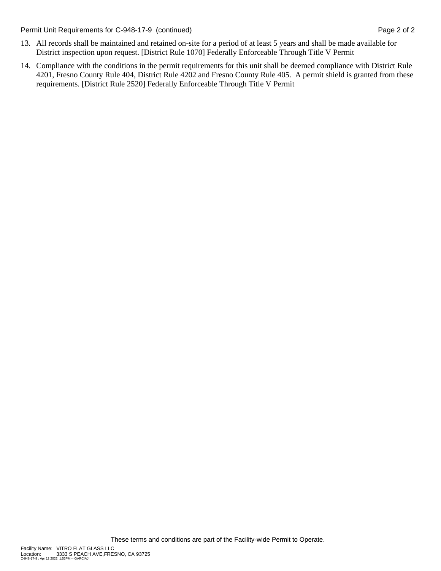Permit Unit Requirements for C-948-17-9 (continued) **Page 2 of 2** and 2 and 2 of 2

- 13. All records shall be maintained and retained on-site for a period of at least 5 years and shall be made available for District inspection upon request. [District Rule 1070] Federally Enforceable Through Title V Permit
- 14. Compliance with the conditions in the permit requirements for this unit shall be deemed compliance with District Rule 4201, Fresno County Rule 404, District Rule 4202 and Fresno County Rule 405. A permit shield is granted from these requirements. [District Rule 2520] Federally Enforceable Through Title V Permit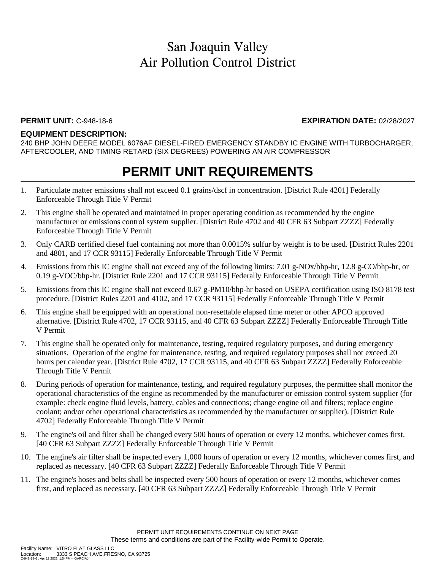### **PERMIT UNIT:** C-948-18-6 **EXPIRATION DATE:** 02/28/2027

#### **EQUIPMENT DESCRIPTION:**

240 BHP JOHN DEERE MODEL 6076AF DIESEL-FIRED EMERGENCY STANDBY IC ENGINE WITH TURBOCHARGER, AFTERCOOLER, AND TIMING RETARD (SIX DEGREES) POWERING AN AIR COMPRESSOR

- 1. Particulate matter emissions shall not exceed 0.1 grains/dscf in concentration. [District Rule 4201] Federally Enforceable Through Title V Permit
- 2. This engine shall be operated and maintained in proper operating condition as recommended by the engine manufacturer or emissions control system supplier. [District Rule 4702 and 40 CFR 63 Subpart ZZZZ] Federally Enforceable Through Title V Permit
- 3. Only CARB certified diesel fuel containing not more than 0.0015% sulfur by weight is to be used. [District Rules 2201 and 4801, and 17 CCR 93115] Federally Enforceable Through Title V Permit
- 4. Emissions from this IC engine shall not exceed any of the following limits: 7.01 g-NOx/bhp-hr, 12.8 g-CO/bhp-hr, or 0.19 g-VOC/bhp-hr. [District Rule 2201 and 17 CCR 93115] Federally Enforceable Through Title V Permit
- 5. Emissions from this IC engine shall not exceed 0.67 g-PM10/bhp-hr based on USEPA certification using ISO 8178 test procedure. [District Rules 2201 and 4102, and 17 CCR 93115] Federally Enforceable Through Title V Permit
- 6. This engine shall be equipped with an operational non-resettable elapsed time meter or other APCO approved alternative. [District Rule 4702, 17 CCR 93115, and 40 CFR 63 Subpart ZZZZ] Federally Enforceable Through Title V Permit
- 7. This engine shall be operated only for maintenance, testing, required regulatory purposes, and during emergency situations. Operation of the engine for maintenance, testing, and required regulatory purposes shall not exceed 20 hours per calendar year. [District Rule 4702, 17 CCR 93115, and 40 CFR 63 Subpart ZZZZ] Federally Enforceable Through Title V Permit
- 8. During periods of operation for maintenance, testing, and required regulatory purposes, the permittee shall monitor the operational characteristics of the engine as recommended by the manufacturer or emission control system supplier (for example: check engine fluid levels, battery, cables and connections; change engine oil and filters; replace engine coolant; and/or other operational characteristics as recommended by the manufacturer or supplier). [District Rule 4702] Federally Enforceable Through Title V Permit
- 9. The engine's oil and filter shall be changed every 500 hours of operation or every 12 months, whichever comes first. [40 CFR 63 Subpart ZZZZ] Federally Enforceable Through Title V Permit
- 10. The engine's air filter shall be inspected every 1,000 hours of operation or every 12 months, whichever comes first, and replaced as necessary. [40 CFR 63 Subpart ZZZZ] Federally Enforceable Through Title V Permit
- 11. The engine's hoses and belts shall be inspected every 500 hours of operation or every 12 months, whichever comes first, and replaced as necessary. [40 CFR 63 Subpart ZZZZ] Federally Enforceable Through Title V Permit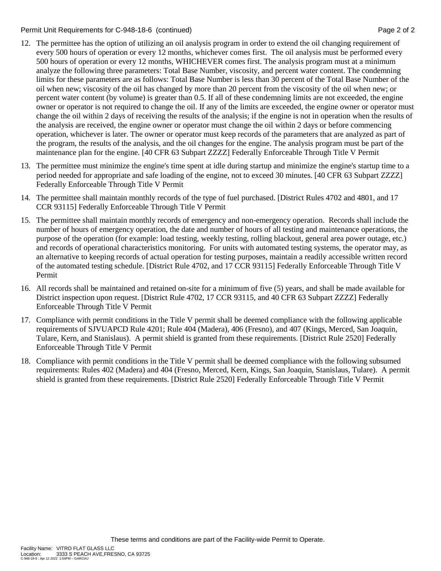Permit Unit Requirements for C-948-18-6 (continued) **Page 2** of 2

- 12. The permittee has the option of utilizing an oil analysis program in order to extend the oil changing requirement of every 500 hours of operation or every 12 months, whichever comes first. The oil analysis must be performed every 500 hours of operation or every 12 months, WHICHEVER comes first. The analysis program must at a minimum analyze the following three parameters: Total Base Number, viscosity, and percent water content. The condemning limits for these parameters are as follows: Total Base Number is less than 30 percent of the Total Base Number of the oil when new; viscosity of the oil has changed by more than 20 percent from the viscosity of the oil when new; or percent water content (by volume) is greater than 0.5. If all of these condemning limits are not exceeded, the engine owner or operator is not required to change the oil. If any of the limits are exceeded, the engine owner or operator must change the oil within 2 days of receiving the results of the analysis; if the engine is not in operation when the results of the analysis are received, the engine owner or operator must change the oil within 2 days or before commencing operation, whichever is later. The owner or operator must keep records of the parameters that are analyzed as part of the program, the results of the analysis, and the oil changes for the engine. The analysis program must be part of the maintenance plan for the engine. [40 CFR 63 Subpart ZZZZ] Federally Enforceable Through Title V Permit
- 13. The permittee must minimize the engine's time spent at idle during startup and minimize the engine's startup time to a period needed for appropriate and safe loading of the engine, not to exceed 30 minutes. [40 CFR 63 Subpart ZZZZ] Federally Enforceable Through Title V Permit
- 14. The permittee shall maintain monthly records of the type of fuel purchased. [District Rules 4702 and 4801, and 17 CCR 93115] Federally Enforceable Through Title V Permit
- 15. The permittee shall maintain monthly records of emergency and non-emergency operation. Records shall include the number of hours of emergency operation, the date and number of hours of all testing and maintenance operations, the purpose of the operation (for example: load testing, weekly testing, rolling blackout, general area power outage, etc.) and records of operational characteristics monitoring. For units with automated testing systems, the operator may, as an alternative to keeping records of actual operation for testing purposes, maintain a readily accessible written record of the automated testing schedule. [District Rule 4702, and 17 CCR 93115] Federally Enforceable Through Title V Permit
- 16. All records shall be maintained and retained on-site for a minimum of five (5) years, and shall be made available for District inspection upon request. [District Rule 4702, 17 CCR 93115, and 40 CFR 63 Subpart ZZZZ] Federally Enforceable Through Title V Permit
- 17. Compliance with permit conditions in the Title V permit shall be deemed compliance with the following applicable requirements of SJVUAPCD Rule 4201; Rule 404 (Madera), 406 (Fresno), and 407 (Kings, Merced, San Joaquin, Tulare, Kern, and Stanislaus). A permit shield is granted from these requirements. [District Rule 2520] Federally Enforceable Through Title V Permit
- 18. Compliance with permit conditions in the Title V permit shall be deemed compliance with the following subsumed requirements: Rules 402 (Madera) and 404 (Fresno, Merced, Kern, Kings, San Joaquin, Stanislaus, Tulare). A permit shield is granted from these requirements. [District Rule 2520] Federally Enforceable Through Title V Permit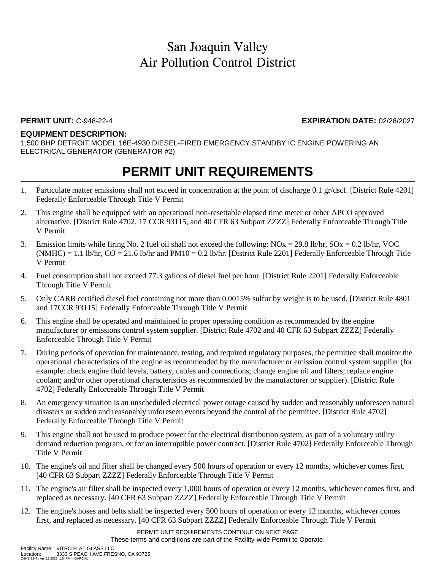### **PERMIT UNIT:** C-948-22-4 **EXPIRATION DATE:** 02/28/2027

#### **EQUIPMENT DESCRIPTION:**

1,500 BHP DETROIT MODEL 16E-4930 DIESEL-FIRED EMERGENCY STANDBY IC ENGINE POWERING AN ELECTRICAL GENERATOR (GENERATOR #2)

- 1. Particulate matter emissions shall not exceed in concentration at the point of discharge 0.1 gr/dscf. [District Rule 4201] Federally Enforceable Through Title V Permit
- 2. This engine shall be equipped with an operational non-resettable elapsed time meter or other APCO approved alternative. [District Rule 4702, 17 CCR 93115, and 40 CFR 63 Subpart ZZZZ] Federally Enforceable Through Title V Permit
- 3. Emission limits while firing No. 2 fuel oil shall not exceed the following:  $NOx = 29.8$  lb/hr,  $SOx = 0.2$  lb/hr, VOC  $(NMHC) = 1.1$  lb/hr,  $CO = 21.6$  lb/hr and  $PM10 = 0.2$  lb/hr. [District Rule 2201] Federally Enforceable Through Title V Permit
- 4. Fuel consumption shall not exceed 77.3 gallons of diesel fuel per hour. [District Rule 2201] Federally Enforceable Through Title V Permit
- 5. Only CARB certified diesel fuel containing not more than 0.0015% sulfur by weight is to be used. [District Rule 4801 and 17CCR 93115] Federally Enforceable Through Title V Permit
- 6. This engine shall be operated and maintained in proper operating condition as recommended by the engine manufacturer or emissions control system supplier. [District Rule 4702 and 40 CFR 63 Subpart ZZZZ] Federally Enforceable Through Title V Permit
- 7. During periods of operation for maintenance, testing, and required regulatory purposes, the permittee shall monitor the operational characteristics of the engine as recommended by the manufacturer or emission control system supplier (for example: check engine fluid levels, battery, cables and connections; change engine oil and filters; replace engine coolant; and/or other operational characteristics as recommended by the manufacturer or supplier). [District Rule 4702] Federally Enforceable Through Title V Permit
- 8. An emergency situation is an unscheduled electrical power outage caused by sudden and reasonably unforeseen natural disasters or sudden and reasonably unforeseen events beyond the control of the permittee. [District Rule 4702] Federally Enforceable Through Title V Permit
- 9. This engine shall not be used to produce power for the electrical distribution system, as part of a voluntary utility demand reduction program, or for an interruptible power contract. [District Rule 4702] Federally Enforceable Through Title V Permit
- 10. The engine's oil and filter shall be changed every 500 hours of operation or every 12 months, whichever comes first. [40 CFR 63 Subpart ZZZZ] Federally Enforceable Through Title V Permit
- 11. The engine's air filter shall be inspected every 1,000 hours of operation or every 12 months, whichever comes first, and replaced as necessary. [40 CFR 63 Subpart ZZZZ] Federally Enforceable Through Title V Permit
- 12. The engine's hoses and belts shall be inspected every 500 hours of operation or every 12 months, whichever comes first, and replaced as necessary. [40 CFR 63 Subpart ZZZZ] Federally Enforceable Through Title V Permit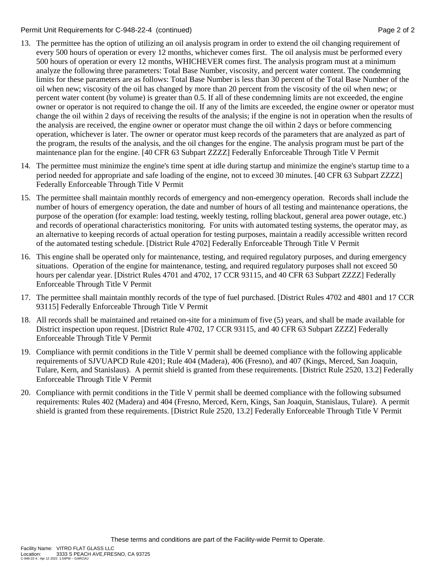Permit Unit Requirements for C-948-22-4 (continued) **Page 2** of 2

- 13. The permittee has the option of utilizing an oil analysis program in order to extend the oil changing requirement of every 500 hours of operation or every 12 months, whichever comes first. The oil analysis must be performed every 500 hours of operation or every 12 months, WHICHEVER comes first. The analysis program must at a minimum analyze the following three parameters: Total Base Number, viscosity, and percent water content. The condemning limits for these parameters are as follows: Total Base Number is less than 30 percent of the Total Base Number of the oil when new; viscosity of the oil has changed by more than 20 percent from the viscosity of the oil when new; or percent water content (by volume) is greater than 0.5. If all of these condemning limits are not exceeded, the engine owner or operator is not required to change the oil. If any of the limits are exceeded, the engine owner or operator must change the oil within 2 days of receiving the results of the analysis; if the engine is not in operation when the results of the analysis are received, the engine owner or operator must change the oil within 2 days or before commencing operation, whichever is later. The owner or operator must keep records of the parameters that are analyzed as part of the program, the results of the analysis, and the oil changes for the engine. The analysis program must be part of the maintenance plan for the engine. [40 CFR 63 Subpart ZZZZ] Federally Enforceable Through Title V Permit
- 14. The permittee must minimize the engine's time spent at idle during startup and minimize the engine's startup time to a period needed for appropriate and safe loading of the engine, not to exceed 30 minutes. [40 CFR 63 Subpart ZZZZ] Federally Enforceable Through Title V Permit
- 15. The permittee shall maintain monthly records of emergency and non-emergency operation. Records shall include the number of hours of emergency operation, the date and number of hours of all testing and maintenance operations, the purpose of the operation (for example: load testing, weekly testing, rolling blackout, general area power outage, etc.) and records of operational characteristics monitoring. For units with automated testing systems, the operator may, as an alternative to keeping records of actual operation for testing purposes, maintain a readily accessible written record of the automated testing schedule. [District Rule 4702] Federally Enforceable Through Title V Permit
- 16. This engine shall be operated only for maintenance, testing, and required regulatory purposes, and during emergency situations. Operation of the engine for maintenance, testing, and required regulatory purposes shall not exceed 50 hours per calendar year. [District Rules 4701 and 4702, 17 CCR 93115, and 40 CFR 63 Subpart ZZZZ] Federally Enforceable Through Title V Permit
- 17. The permittee shall maintain monthly records of the type of fuel purchased. [District Rules 4702 and 4801 and 17 CCR 93115] Federally Enforceable Through Title V Permit
- 18. All records shall be maintained and retained on-site for a minimum of five (5) years, and shall be made available for District inspection upon request. [District Rule 4702, 17 CCR 93115, and 40 CFR 63 Subpart ZZZZ] Federally Enforceable Through Title V Permit
- 19. Compliance with permit conditions in the Title V permit shall be deemed compliance with the following applicable requirements of SJVUAPCD Rule 4201; Rule 404 (Madera), 406 (Fresno), and 407 (Kings, Merced, San Joaquin, Tulare, Kern, and Stanislaus). A permit shield is granted from these requirements. [District Rule 2520, 13.2] Federally Enforceable Through Title V Permit
- 20. Compliance with permit conditions in the Title V permit shall be deemed compliance with the following subsumed requirements: Rules 402 (Madera) and 404 (Fresno, Merced, Kern, Kings, San Joaquin, Stanislaus, Tulare). A permit shield is granted from these requirements. [District Rule 2520, 13.2] Federally Enforceable Through Title V Permit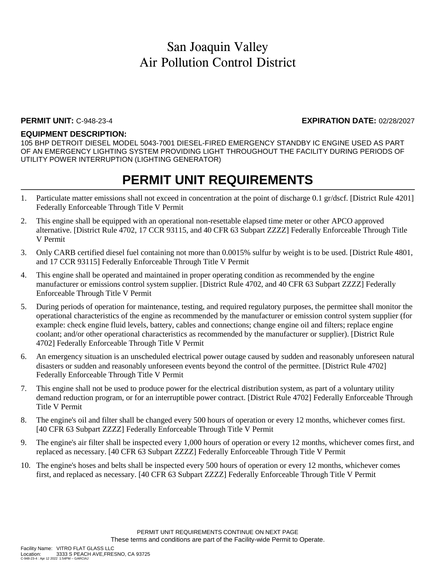### **PERMIT UNIT:** C-948-23-4 **EXPIRATION DATE:** 02/28/2027

### **EQUIPMENT DESCRIPTION:**

105 BHP DETROIT DIESEL MODEL 5043-7001 DIESEL-FIRED EMERGENCY STANDBY IC ENGINE USED AS PART OF AN EMERGENCY LIGHTING SYSTEM PROVIDING LIGHT THROUGHOUT THE FACILITY DURING PERIODS OF UTILITY POWER INTERRUPTION (LIGHTING GENERATOR)

- 1. Particulate matter emissions shall not exceed in concentration at the point of discharge 0.1 gr/dscf. [District Rule 4201] Federally Enforceable Through Title V Permit
- 2. This engine shall be equipped with an operational non-resettable elapsed time meter or other APCO approved alternative. [District Rule 4702, 17 CCR 93115, and 40 CFR 63 Subpart ZZZZ] Federally Enforceable Through Title V Permit
- 3. Only CARB certified diesel fuel containing not more than 0.0015% sulfur by weight is to be used. [District Rule 4801, and 17 CCR 93115] Federally Enforceable Through Title V Permit
- 4. This engine shall be operated and maintained in proper operating condition as recommended by the engine manufacturer or emissions control system supplier. [District Rule 4702, and 40 CFR 63 Subpart ZZZZ] Federally Enforceable Through Title V Permit
- 5. During periods of operation for maintenance, testing, and required regulatory purposes, the permittee shall monitor the operational characteristics of the engine as recommended by the manufacturer or emission control system supplier (for example: check engine fluid levels, battery, cables and connections; change engine oil and filters; replace engine coolant; and/or other operational characteristics as recommended by the manufacturer or supplier). [District Rule 4702] Federally Enforceable Through Title V Permit
- 6. An emergency situation is an unscheduled electrical power outage caused by sudden and reasonably unforeseen natural disasters or sudden and reasonably unforeseen events beyond the control of the permittee. [District Rule 4702] Federally Enforceable Through Title V Permit
- 7. This engine shall not be used to produce power for the electrical distribution system, as part of a voluntary utility demand reduction program, or for an interruptible power contract. [District Rule 4702] Federally Enforceable Through Title V Permit
- 8. The engine's oil and filter shall be changed every 500 hours of operation or every 12 months, whichever comes first. [40 CFR 63 Subpart ZZZZ] Federally Enforceable Through Title V Permit
- 9. The engine's air filter shall be inspected every 1,000 hours of operation or every 12 months, whichever comes first, and replaced as necessary. [40 CFR 63 Subpart ZZZZ] Federally Enforceable Through Title V Permit
- 10. The engine's hoses and belts shall be inspected every 500 hours of operation or every 12 months, whichever comes first, and replaced as necessary. [40 CFR 63 Subpart ZZZZ] Federally Enforceable Through Title V Permit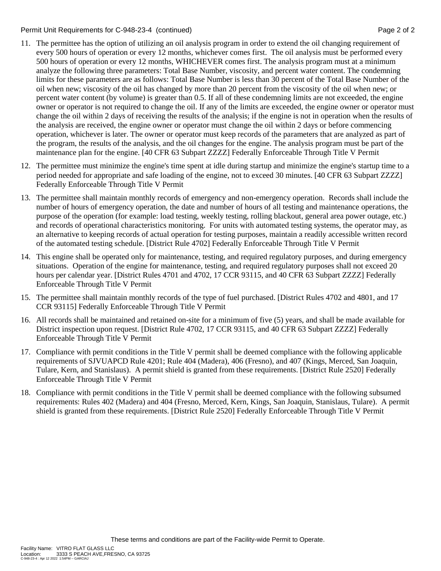Permit Unit Requirements for C-948-23-4 (continued) **Page 2** of 2

- 11. The permittee has the option of utilizing an oil analysis program in order to extend the oil changing requirement of every 500 hours of operation or every 12 months, whichever comes first. The oil analysis must be performed every 500 hours of operation or every 12 months, WHICHEVER comes first. The analysis program must at a minimum analyze the following three parameters: Total Base Number, viscosity, and percent water content. The condemning limits for these parameters are as follows: Total Base Number is less than 30 percent of the Total Base Number of the oil when new; viscosity of the oil has changed by more than 20 percent from the viscosity of the oil when new; or percent water content (by volume) is greater than 0.5. If all of these condemning limits are not exceeded, the engine owner or operator is not required to change the oil. If any of the limits are exceeded, the engine owner or operator must change the oil within 2 days of receiving the results of the analysis; if the engine is not in operation when the results of the analysis are received, the engine owner or operator must change the oil within 2 days or before commencing operation, whichever is later. The owner or operator must keep records of the parameters that are analyzed as part of the program, the results of the analysis, and the oil changes for the engine. The analysis program must be part of the maintenance plan for the engine. [40 CFR 63 Subpart ZZZZ] Federally Enforceable Through Title V Permit
- 12. The permittee must minimize the engine's time spent at idle during startup and minimize the engine's startup time to a period needed for appropriate and safe loading of the engine, not to exceed 30 minutes. [40 CFR 63 Subpart ZZZZ] Federally Enforceable Through Title V Permit
- 13. The permittee shall maintain monthly records of emergency and non-emergency operation. Records shall include the number of hours of emergency operation, the date and number of hours of all testing and maintenance operations, the purpose of the operation (for example: load testing, weekly testing, rolling blackout, general area power outage, etc.) and records of operational characteristics monitoring. For units with automated testing systems, the operator may, as an alternative to keeping records of actual operation for testing purposes, maintain a readily accessible written record of the automated testing schedule. [District Rule 4702] Federally Enforceable Through Title V Permit
- 14. This engine shall be operated only for maintenance, testing, and required regulatory purposes, and during emergency situations. Operation of the engine for maintenance, testing, and required regulatory purposes shall not exceed 20 hours per calendar year. [District Rules 4701 and 4702, 17 CCR 93115, and 40 CFR 63 Subpart ZZZZ] Federally Enforceable Through Title V Permit
- 15. The permittee shall maintain monthly records of the type of fuel purchased. [District Rules 4702 and 4801, and 17 CCR 93115] Federally Enforceable Through Title V Permit
- 16. All records shall be maintained and retained on-site for a minimum of five (5) years, and shall be made available for District inspection upon request. [District Rule 4702, 17 CCR 93115, and 40 CFR 63 Subpart ZZZZ] Federally Enforceable Through Title V Permit
- 17. Compliance with permit conditions in the Title V permit shall be deemed compliance with the following applicable requirements of SJVUAPCD Rule 4201; Rule 404 (Madera), 406 (Fresno), and 407 (Kings, Merced, San Joaquin, Tulare, Kern, and Stanislaus). A permit shield is granted from these requirements. [District Rule 2520] Federally Enforceable Through Title V Permit
- 18. Compliance with permit conditions in the Title V permit shall be deemed compliance with the following subsumed requirements: Rules 402 (Madera) and 404 (Fresno, Merced, Kern, Kings, San Joaquin, Stanislaus, Tulare). A permit shield is granted from these requirements. [District Rule 2520] Federally Enforceable Through Title V Permit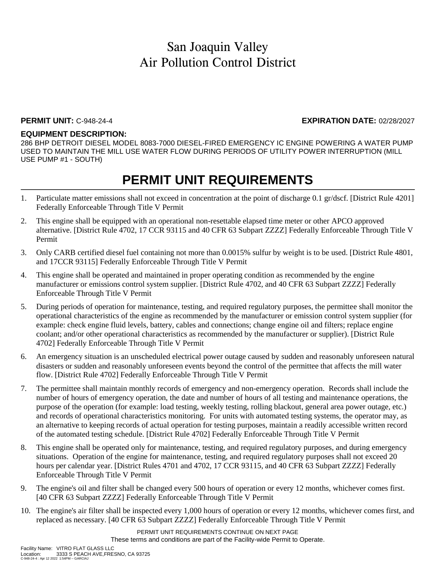### **PERMIT UNIT:** C-948-24-4 **EXPIRATION DATE:** 02/28/2027

### **EQUIPMENT DESCRIPTION:**

286 BHP DETROIT DIESEL MODEL 8083-7000 DIESEL-FIRED EMERGENCY IC ENGINE POWERING A WATER PUMP USED TO MAINTAIN THE MILL USE WATER FLOW DURING PERIODS OF UTILITY POWER INTERRUPTION (MILL USE PUMP #1 - SOUTH)

## **PERMIT UNIT REQUIREMENTS**

- 1. Particulate matter emissions shall not exceed in concentration at the point of discharge 0.1 gr/dscf. [District Rule 4201] Federally Enforceable Through Title V Permit
- 2. This engine shall be equipped with an operational non-resettable elapsed time meter or other APCO approved alternative. [District Rule 4702, 17 CCR 93115 and 40 CFR 63 Subpart ZZZZ] Federally Enforceable Through Title V Permit
- 3. Only CARB certified diesel fuel containing not more than 0.0015% sulfur by weight is to be used. [District Rule 4801, and 17CCR 93115] Federally Enforceable Through Title V Permit
- 4. This engine shall be operated and maintained in proper operating condition as recommended by the engine manufacturer or emissions control system supplier. [District Rule 4702, and 40 CFR 63 Subpart ZZZZ] Federally Enforceable Through Title V Permit
- 5. During periods of operation for maintenance, testing, and required regulatory purposes, the permittee shall monitor the operational characteristics of the engine as recommended by the manufacturer or emission control system supplier (for example: check engine fluid levels, battery, cables and connections; change engine oil and filters; replace engine coolant; and/or other operational characteristics as recommended by the manufacturer or supplier). [District Rule 4702] Federally Enforceable Through Title V Permit
- 6. An emergency situation is an unscheduled electrical power outage caused by sudden and reasonably unforeseen natural disasters or sudden and reasonably unforeseen events beyond the control of the permittee that affects the mill water flow. [District Rule 4702] Federally Enforceable Through Title V Permit
- 7. The permittee shall maintain monthly records of emergency and non-emergency operation. Records shall include the number of hours of emergency operation, the date and number of hours of all testing and maintenance operations, the purpose of the operation (for example: load testing, weekly testing, rolling blackout, general area power outage, etc.) and records of operational characteristics monitoring. For units with automated testing systems, the operator may, as an alternative to keeping records of actual operation for testing purposes, maintain a readily accessible written record of the automated testing schedule. [District Rule 4702] Federally Enforceable Through Title V Permit
- 8. This engine shall be operated only for maintenance, testing, and required regulatory purposes, and during emergency situations. Operation of the engine for maintenance, testing, and required regulatory purposes shall not exceed 20 hours per calendar year. [District Rules 4701 and 4702, 17 CCR 93115, and 40 CFR 63 Subpart ZZZZ] Federally Enforceable Through Title V Permit
- 9. The engine's oil and filter shall be changed every 500 hours of operation or every 12 months, whichever comes first. [40 CFR 63 Subpart ZZZZ] Federally Enforceable Through Title V Permit
- 10. The engine's air filter shall be inspected every 1,000 hours of operation or every 12 months, whichever comes first, and replaced as necessary. [40 CFR 63 Subpart ZZZZ] Federally Enforceable Through Title V Permit

PERMIT UNIT REQUIREMENTS CONTINUE ON NEXT PAGE These terms and conditions are part of the Facility-wide Permit to Operate.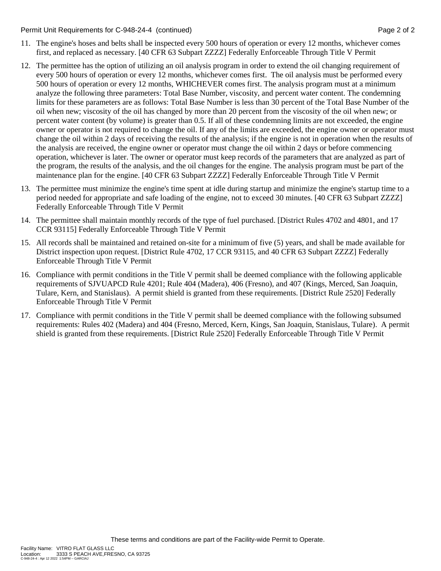#### Permit Unit Requirements for C-948-24-4 (continued) **Page 2** of 2

- 11. The engine's hoses and belts shall be inspected every 500 hours of operation or every 12 months, whichever comes first, and replaced as necessary. [40 CFR 63 Subpart ZZZZ] Federally Enforceable Through Title V Permit
- 12. The permittee has the option of utilizing an oil analysis program in order to extend the oil changing requirement of every 500 hours of operation or every 12 months, whichever comes first. The oil analysis must be performed every 500 hours of operation or every 12 months, WHICHEVER comes first. The analysis program must at a minimum analyze the following three parameters: Total Base Number, viscosity, and percent water content. The condemning limits for these parameters are as follows: Total Base Number is less than 30 percent of the Total Base Number of the oil when new; viscosity of the oil has changed by more than 20 percent from the viscosity of the oil when new; or percent water content (by volume) is greater than 0.5. If all of these condemning limits are not exceeded, the engine owner or operator is not required to change the oil. If any of the limits are exceeded, the engine owner or operator must change the oil within 2 days of receiving the results of the analysis; if the engine is not in operation when the results of the analysis are received, the engine owner or operator must change the oil within 2 days or before commencing operation, whichever is later. The owner or operator must keep records of the parameters that are analyzed as part of the program, the results of the analysis, and the oil changes for the engine. The analysis program must be part of the maintenance plan for the engine. [40 CFR 63 Subpart ZZZZ] Federally Enforceable Through Title V Permit
- 13. The permittee must minimize the engine's time spent at idle during startup and minimize the engine's startup time to a period needed for appropriate and safe loading of the engine, not to exceed 30 minutes. [40 CFR 63 Subpart ZZZZ] Federally Enforceable Through Title V Permit
- 14. The permittee shall maintain monthly records of the type of fuel purchased. [District Rules 4702 and 4801, and 17 CCR 93115] Federally Enforceable Through Title V Permit
- 15. All records shall be maintained and retained on-site for a minimum of five (5) years, and shall be made available for District inspection upon request. [District Rule 4702, 17 CCR 93115, and 40 CFR 63 Subpart ZZZZ] Federally Enforceable Through Title V Permit
- 16. Compliance with permit conditions in the Title V permit shall be deemed compliance with the following applicable requirements of SJVUAPCD Rule 4201; Rule 404 (Madera), 406 (Fresno), and 407 (Kings, Merced, San Joaquin, Tulare, Kern, and Stanislaus). A permit shield is granted from these requirements. [District Rule 2520] Federally Enforceable Through Title V Permit
- 17. Compliance with permit conditions in the Title V permit shall be deemed compliance with the following subsumed requirements: Rules 402 (Madera) and 404 (Fresno, Merced, Kern, Kings, San Joaquin, Stanislaus, Tulare). A permit shield is granted from these requirements. [District Rule 2520] Federally Enforceable Through Title V Permit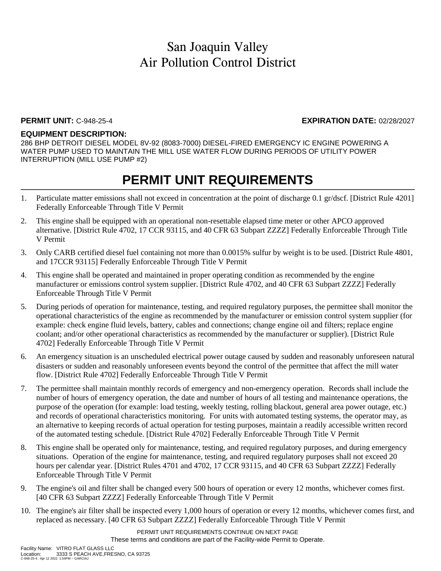### **PERMIT UNIT:** C-948-25-4 **EXPIRATION DATE:** 02/28/2027

### **EQUIPMENT DESCRIPTION:**

286 BHP DETROIT DIESEL MODEL 8V-92 (8083-7000) DIESEL-FIRED EMERGENCY IC ENGINE POWERING A WATER PUMP USED TO MAINTAIN THE MILL USE WATER FLOW DURING PERIODS OF UTILITY POWER INTERRUPTION (MILL USE PUMP #2)

## **PERMIT UNIT REQUIREMENTS**

- 1. Particulate matter emissions shall not exceed in concentration at the point of discharge 0.1 gr/dscf. [District Rule 4201] Federally Enforceable Through Title V Permit
- 2. This engine shall be equipped with an operational non-resettable elapsed time meter or other APCO approved alternative. [District Rule 4702, 17 CCR 93115, and 40 CFR 63 Subpart ZZZZ] Federally Enforceable Through Title V Permit
- 3. Only CARB certified diesel fuel containing not more than 0.0015% sulfur by weight is to be used. [District Rule 4801, and 17CCR 93115] Federally Enforceable Through Title V Permit
- 4. This engine shall be operated and maintained in proper operating condition as recommended by the engine manufacturer or emissions control system supplier. [District Rule 4702, and 40 CFR 63 Subpart ZZZZ] Federally Enforceable Through Title V Permit
- 5. During periods of operation for maintenance, testing, and required regulatory purposes, the permittee shall monitor the operational characteristics of the engine as recommended by the manufacturer or emission control system supplier (for example: check engine fluid levels, battery, cables and connections; change engine oil and filters; replace engine coolant; and/or other operational characteristics as recommended by the manufacturer or supplier). [District Rule 4702] Federally Enforceable Through Title V Permit
- 6. An emergency situation is an unscheduled electrical power outage caused by sudden and reasonably unforeseen natural disasters or sudden and reasonably unforeseen events beyond the control of the permittee that affect the mill water flow. [District Rule 4702] Federally Enforceable Through Title V Permit
- 7. The permittee shall maintain monthly records of emergency and non-emergency operation. Records shall include the number of hours of emergency operation, the date and number of hours of all testing and maintenance operations, the purpose of the operation (for example: load testing, weekly testing, rolling blackout, general area power outage, etc.) and records of operational characteristics monitoring. For units with automated testing systems, the operator may, as an alternative to keeping records of actual operation for testing purposes, maintain a readily accessible written record of the automated testing schedule. [District Rule 4702] Federally Enforceable Through Title V Permit
- 8. This engine shall be operated only for maintenance, testing, and required regulatory purposes, and during emergency situations. Operation of the engine for maintenance, testing, and required regulatory purposes shall not exceed 20 hours per calendar year. [District Rules 4701 and 4702, 17 CCR 93115, and 40 CFR 63 Subpart ZZZZ] Federally Enforceable Through Title V Permit
- 9. The engine's oil and filter shall be changed every 500 hours of operation or every 12 months, whichever comes first. [40 CFR 63 Subpart ZZZZ] Federally Enforceable Through Title V Permit
- 10. The engine's air filter shall be inspected every 1,000 hours of operation or every 12 months, whichever comes first, and replaced as necessary. [40 CFR 63 Subpart ZZZZ] Federally Enforceable Through Title V Permit

PERMIT UNIT REQUIREMENTS CONTINUE ON NEXT PAGE These terms and conditions are part of the Facility-wide Permit to Operate.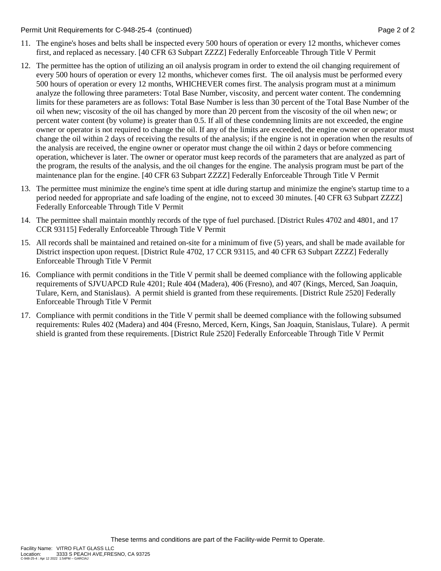#### Permit Unit Requirements for C-948-25-4 (continued) **Page 2** of 2

- 11. The engine's hoses and belts shall be inspected every 500 hours of operation or every 12 months, whichever comes first, and replaced as necessary. [40 CFR 63 Subpart ZZZZ] Federally Enforceable Through Title V Permit
- 12. The permittee has the option of utilizing an oil analysis program in order to extend the oil changing requirement of every 500 hours of operation or every 12 months, whichever comes first. The oil analysis must be performed every 500 hours of operation or every 12 months, WHICHEVER comes first. The analysis program must at a minimum analyze the following three parameters: Total Base Number, viscosity, and percent water content. The condemning limits for these parameters are as follows: Total Base Number is less than 30 percent of the Total Base Number of the oil when new; viscosity of the oil has changed by more than 20 percent from the viscosity of the oil when new; or percent water content (by volume) is greater than 0.5. If all of these condemning limits are not exceeded, the engine owner or operator is not required to change the oil. If any of the limits are exceeded, the engine owner or operator must change the oil within 2 days of receiving the results of the analysis; if the engine is not in operation when the results of the analysis are received, the engine owner or operator must change the oil within 2 days or before commencing operation, whichever is later. The owner or operator must keep records of the parameters that are analyzed as part of the program, the results of the analysis, and the oil changes for the engine. The analysis program must be part of the maintenance plan for the engine. [40 CFR 63 Subpart ZZZZ] Federally Enforceable Through Title V Permit
- 13. The permittee must minimize the engine's time spent at idle during startup and minimize the engine's startup time to a period needed for appropriate and safe loading of the engine, not to exceed 30 minutes. [40 CFR 63 Subpart ZZZZ] Federally Enforceable Through Title V Permit
- 14. The permittee shall maintain monthly records of the type of fuel purchased. [District Rules 4702 and 4801, and 17 CCR 93115] Federally Enforceable Through Title V Permit
- 15. All records shall be maintained and retained on-site for a minimum of five (5) years, and shall be made available for District inspection upon request. [District Rule 4702, 17 CCR 93115, and 40 CFR 63 Subpart ZZZZ] Federally Enforceable Through Title V Permit
- 16. Compliance with permit conditions in the Title V permit shall be deemed compliance with the following applicable requirements of SJVUAPCD Rule 4201; Rule 404 (Madera), 406 (Fresno), and 407 (Kings, Merced, San Joaquin, Tulare, Kern, and Stanislaus). A permit shield is granted from these requirements. [District Rule 2520] Federally Enforceable Through Title V Permit
- 17. Compliance with permit conditions in the Title V permit shall be deemed compliance with the following subsumed requirements: Rules 402 (Madera) and 404 (Fresno, Merced, Kern, Kings, San Joaquin, Stanislaus, Tulare). A permit shield is granted from these requirements. [District Rule 2520] Federally Enforceable Through Title V Permit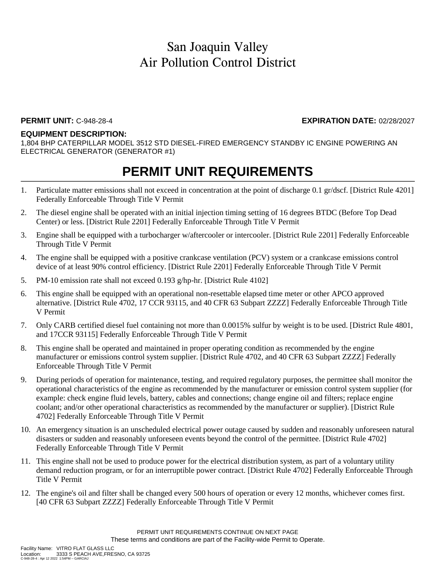### **PERMIT UNIT:** C-948-28-4 **EXPIRATION DATE:** 02/28/2027

#### **EQUIPMENT DESCRIPTION:**

1,804 BHP CATERPILLAR MODEL 3512 STD DIESEL-FIRED EMERGENCY STANDBY IC ENGINE POWERING AN ELECTRICAL GENERATOR (GENERATOR #1)

- 1. Particulate matter emissions shall not exceed in concentration at the point of discharge 0.1 gr/dscf. [District Rule 4201] Federally Enforceable Through Title V Permit
- 2. The diesel engine shall be operated with an initial injection timing setting of 16 degrees BTDC (Before Top Dead Center) or less. [District Rule 2201] Federally Enforceable Through Title V Permit
- 3. Engine shall be equipped with a turbocharger w/aftercooler or intercooler. [District Rule 2201] Federally Enforceable Through Title V Permit
- 4. The engine shall be equipped with a positive crankcase ventilation (PCV) system or a crankcase emissions control device of at least 90% control efficiency. [District Rule 2201] Federally Enforceable Through Title V Permit
- 5. PM-10 emission rate shall not exceed 0.193 g/hp-hr. [District Rule 4102]
- 6. This engine shall be equipped with an operational non-resettable elapsed time meter or other APCO approved alternative. [District Rule 4702, 17 CCR 93115, and 40 CFR 63 Subpart ZZZZ] Federally Enforceable Through Title V Permit
- 7. Only CARB certified diesel fuel containing not more than 0.0015% sulfur by weight is to be used. [District Rule 4801, and 17CCR 93115] Federally Enforceable Through Title V Permit
- 8. This engine shall be operated and maintained in proper operating condition as recommended by the engine manufacturer or emissions control system supplier. [District Rule 4702, and 40 CFR 63 Subpart ZZZZ] Federally Enforceable Through Title V Permit
- 9. During periods of operation for maintenance, testing, and required regulatory purposes, the permittee shall monitor the operational characteristics of the engine as recommended by the manufacturer or emission control system supplier (for example: check engine fluid levels, battery, cables and connections; change engine oil and filters; replace engine coolant; and/or other operational characteristics as recommended by the manufacturer or supplier). [District Rule 4702] Federally Enforceable Through Title V Permit
- 10. An emergency situation is an unscheduled electrical power outage caused by sudden and reasonably unforeseen natural disasters or sudden and reasonably unforeseen events beyond the control of the permittee. [District Rule 4702] Federally Enforceable Through Title V Permit
- 11. This engine shall not be used to produce power for the electrical distribution system, as part of a voluntary utility demand reduction program, or for an interruptible power contract. [District Rule 4702] Federally Enforceable Through Title V Permit
- 12. The engine's oil and filter shall be changed every 500 hours of operation or every 12 months, whichever comes first. [40 CFR 63 Subpart ZZZZ] Federally Enforceable Through Title V Permit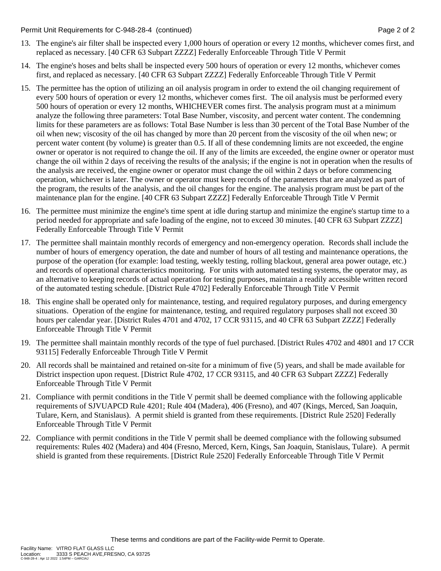#### Permit Unit Requirements for C-948-28-4 (continued) **Page 2** of 2

- 13. The engine's air filter shall be inspected every 1,000 hours of operation or every 12 months, whichever comes first, and replaced as necessary. [40 CFR 63 Subpart ZZZZ] Federally Enforceable Through Title V Permit
- 14. The engine's hoses and belts shall be inspected every 500 hours of operation or every 12 months, whichever comes first, and replaced as necessary. [40 CFR 63 Subpart ZZZZ] Federally Enforceable Through Title V Permit
- 15. The permittee has the option of utilizing an oil analysis program in order to extend the oil changing requirement of every 500 hours of operation or every 12 months, whichever comes first. The oil analysis must be performed every 500 hours of operation or every 12 months, WHICHEVER comes first. The analysis program must at a minimum analyze the following three parameters: Total Base Number, viscosity, and percent water content. The condemning limits for these parameters are as follows: Total Base Number is less than 30 percent of the Total Base Number of the oil when new; viscosity of the oil has changed by more than 20 percent from the viscosity of the oil when new; or percent water content (by volume) is greater than 0.5. If all of these condemning limits are not exceeded, the engine owner or operator is not required to change the oil. If any of the limits are exceeded, the engine owner or operator must change the oil within 2 days of receiving the results of the analysis; if the engine is not in operation when the results of the analysis are received, the engine owner or operator must change the oil within 2 days or before commencing operation, whichever is later. The owner or operator must keep records of the parameters that are analyzed as part of the program, the results of the analysis, and the oil changes for the engine. The analysis program must be part of the maintenance plan for the engine. [40 CFR 63 Subpart ZZZZ] Federally Enforceable Through Title V Permit
- 16. The permittee must minimize the engine's time spent at idle during startup and minimize the engine's startup time to a period needed for appropriate and safe loading of the engine, not to exceed 30 minutes. [40 CFR 63 Subpart ZZZZ] Federally Enforceable Through Title V Permit
- 17. The permittee shall maintain monthly records of emergency and non-emergency operation. Records shall include the number of hours of emergency operation, the date and number of hours of all testing and maintenance operations, the purpose of the operation (for example: load testing, weekly testing, rolling blackout, general area power outage, etc.) and records of operational characteristics monitoring. For units with automated testing systems, the operator may, as an alternative to keeping records of actual operation for testing purposes, maintain a readily accessible written record of the automated testing schedule. [District Rule 4702] Federally Enforceable Through Title V Permit
- 18. This engine shall be operated only for maintenance, testing, and required regulatory purposes, and during emergency situations. Operation of the engine for maintenance, testing, and required regulatory purposes shall not exceed 30 hours per calendar year. [District Rules 4701 and 4702, 17 CCR 93115, and 40 CFR 63 Subpart ZZZZ] Federally Enforceable Through Title V Permit
- 19. The permittee shall maintain monthly records of the type of fuel purchased. [District Rules 4702 and 4801 and 17 CCR 93115] Federally Enforceable Through Title V Permit
- 20. All records shall be maintained and retained on-site for a minimum of five (5) years, and shall be made available for District inspection upon request. [District Rule 4702, 17 CCR 93115, and 40 CFR 63 Subpart ZZZZ] Federally Enforceable Through Title V Permit
- 21. Compliance with permit conditions in the Title V permit shall be deemed compliance with the following applicable requirements of SJVUAPCD Rule 4201; Rule 404 (Madera), 406 (Fresno), and 407 (Kings, Merced, San Joaquin, Tulare, Kern, and Stanislaus). A permit shield is granted from these requirements. [District Rule 2520] Federally Enforceable Through Title V Permit
- 22. Compliance with permit conditions in the Title V permit shall be deemed compliance with the following subsumed requirements: Rules 402 (Madera) and 404 (Fresno, Merced, Kern, Kings, San Joaquin, Stanislaus, Tulare). A permit shield is granted from these requirements. [District Rule 2520] Federally Enforceable Through Title V Permit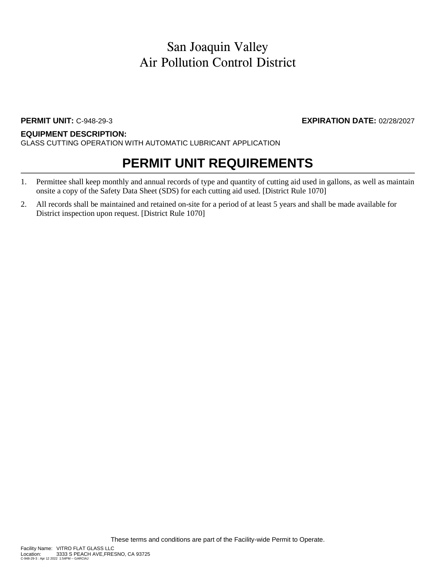## **PERMIT UNIT:** C-948-29-3 **EXPIRATION DATE:** 02/28/2027

### **EQUIPMENT DESCRIPTION:**

GLASS CUTTING OPERATION WITH AUTOMATIC LUBRICANT APPLICATION

- 1. Permittee shall keep monthly and annual records of type and quantity of cutting aid used in gallons, as well as maintain onsite a copy of the Safety Data Sheet (SDS) for each cutting aid used. [District Rule 1070]
- 2. All records shall be maintained and retained on-site for a period of at least 5 years and shall be made available for District inspection upon request. [District Rule 1070]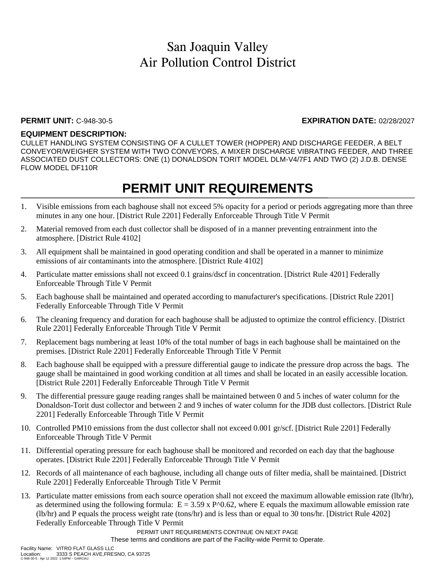### **PERMIT UNIT:** C-948-30-5 **EXPIRATION DATE:** 02/28/2027

### **EQUIPMENT DESCRIPTION:**

CULLET HANDLING SYSTEM CONSISTING OF A CULLET TOWER (HOPPER) AND DISCHARGE FEEDER, A BELT CONVEYOR/WEIGHER SYSTEM WITH TWO CONVEYORS, A MIXER DISCHARGE VIBRATING FEEDER, AND THREE ASSOCIATED DUST COLLECTORS: ONE (1) DONALDSON TORIT MODEL DLM-V4/7F1 AND TWO (2) J.D.B. DENSE FLOW MODEL DF110R

## **PERMIT UNIT REQUIREMENTS**

- 1. Visible emissions from each baghouse shall not exceed 5% opacity for a period or periods aggregating more than three minutes in any one hour. [District Rule 2201] Federally Enforceable Through Title V Permit
- 2. Material removed from each dust collector shall be disposed of in a manner preventing entrainment into the atmosphere. [District Rule 4102]
- 3. All equipment shall be maintained in good operating condition and shall be operated in a manner to minimize emissions of air contaminants into the atmosphere. [District Rule 4102]
- 4. Particulate matter emissions shall not exceed 0.1 grains/dscf in concentration. [District Rule 4201] Federally Enforceable Through Title V Permit
- 5. Each baghouse shall be maintained and operated according to manufacturer's specifications. [District Rule 2201] Federally Enforceable Through Title V Permit
- 6. The cleaning frequency and duration for each baghouse shall be adjusted to optimize the control efficiency. [District Rule 2201] Federally Enforceable Through Title V Permit
- 7. Replacement bags numbering at least 10% of the total number of bags in each baghouse shall be maintained on the premises. [District Rule 2201] Federally Enforceable Through Title V Permit
- 8. Each baghouse shall be equipped with a pressure differential gauge to indicate the pressure drop across the bags. The gauge shall be maintained in good working condition at all times and shall be located in an easily accessible location. [District Rule 2201] Federally Enforceable Through Title V Permit
- 9. The differential pressure gauge reading ranges shall be maintained between 0 and 5 inches of water column for the Donaldson-Torit dust collector and between 2 and 9 inches of water column for the JDB dust collectors. [District Rule 2201] Federally Enforceable Through Title V Permit
- 10. Controlled PM10 emissions from the dust collector shall not exceed 0.001 gr/scf. [District Rule 2201] Federally Enforceable Through Title V Permit
- 11. Differential operating pressure for each baghouse shall be monitored and recorded on each day that the baghouse operates. [District Rule 2201] Federally Enforceable Through Title V Permit
- 12. Records of all maintenance of each baghouse, including all change outs of filter media, shall be maintained. [District Rule 2201] Federally Enforceable Through Title V Permit
- 13. Particulate matter emissions from each source operation shall not exceed the maximum allowable emission rate (lb/hr), as determined using the following formula:  $E = 3.59 \times P^0 \cdot 0.62$ , where E equals the maximum allowable emission rate (lb/hr) and P equals the process weight rate (tons/hr) and is less than or equal to 30 tons/hr. [District Rule 4202] Federally Enforceable Through Title V Permit

PERMIT UNIT REQUIREMENTS CONTINUE ON NEXT PAGE

These terms and conditions are part of the Facility-wide Permit to Operate.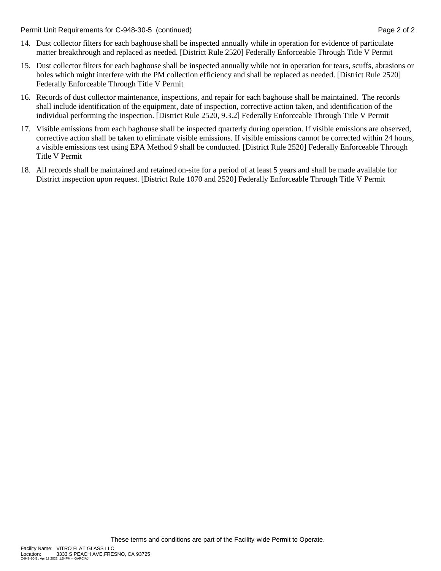Permit Unit Requirements for C-948-30-5 (continued) **Page 2** of 2

- 14. Dust collector filters for each baghouse shall be inspected annually while in operation for evidence of particulate matter breakthrough and replaced as needed. [District Rule 2520] Federally Enforceable Through Title V Permit
- 15. Dust collector filters for each baghouse shall be inspected annually while not in operation for tears, scuffs, abrasions or holes which might interfere with the PM collection efficiency and shall be replaced as needed. [District Rule 2520] Federally Enforceable Through Title V Permit
- 16. Records of dust collector maintenance, inspections, and repair for each baghouse shall be maintained. The records shall include identification of the equipment, date of inspection, corrective action taken, and identification of the individual performing the inspection. [District Rule 2520, 9.3.2] Federally Enforceable Through Title V Permit
- 17. Visible emissions from each baghouse shall be inspected quarterly during operation. If visible emissions are observed, corrective action shall be taken to eliminate visible emissions. If visible emissions cannot be corrected within 24 hours, a visible emissions test using EPA Method 9 shall be conducted. [District Rule 2520] Federally Enforceable Through Title V Permit
- 18. All records shall be maintained and retained on-site for a period of at least 5 years and shall be made available for District inspection upon request. [District Rule 1070 and 2520] Federally Enforceable Through Title V Permit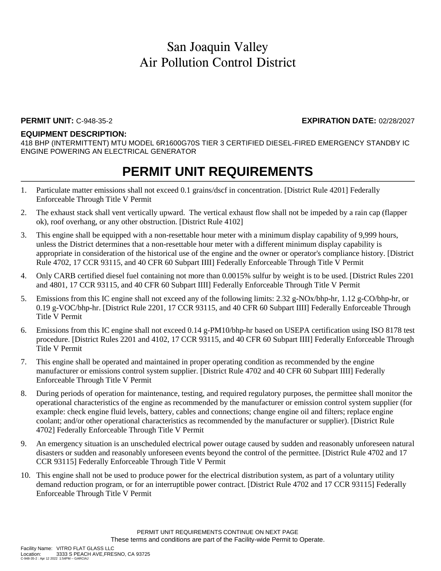#### **PERMIT UNIT:** C-948-35-2 **EXPIRATION DATE:** 02/28/2027

#### **EQUIPMENT DESCRIPTION:**

418 BHP (INTERMITTENT) MTU MODEL 6R1600G70S TIER 3 CERTIFIED DIESEL-FIRED EMERGENCY STANDBY IC ENGINE POWERING AN ELECTRICAL GENERATOR

- 1. Particulate matter emissions shall not exceed 0.1 grains/dscf in concentration. [District Rule 4201] Federally Enforceable Through Title V Permit
- 2. The exhaust stack shall vent vertically upward. The vertical exhaust flow shall not be impeded by a rain cap (flapper ok), roof overhang, or any other obstruction. [District Rule 4102]
- 3. This engine shall be equipped with a non-resettable hour meter with a minimum display capability of 9,999 hours, unless the District determines that a non-resettable hour meter with a different minimum display capability is appropriate in consideration of the historical use of the engine and the owner or operator's compliance history. [District Rule 4702, 17 CCR 93115, and 40 CFR 60 Subpart IIII] Federally Enforceable Through Title V Permit
- 4. Only CARB certified diesel fuel containing not more than 0.0015% sulfur by weight is to be used. [District Rules 2201 and 4801, 17 CCR 93115, and 40 CFR 60 Subpart IIII] Federally Enforceable Through Title V Permit
- 5. Emissions from this IC engine shall not exceed any of the following limits: 2.32 g-NOx/bhp-hr, 1.12 g-CO/bhp-hr, or 0.19 g-VOC/bhp-hr. [District Rule 2201, 17 CCR 93115, and 40 CFR 60 Subpart IIII] Federally Enforceable Through Title V Permit
- 6. Emissions from this IC engine shall not exceed 0.14 g-PM10/bhp-hr based on USEPA certification using ISO 8178 test procedure. [District Rules 2201 and 4102, 17 CCR 93115, and 40 CFR 60 Subpart IIII] Federally Enforceable Through Title V Permit
- 7. This engine shall be operated and maintained in proper operating condition as recommended by the engine manufacturer or emissions control system supplier. [District Rule 4702 and 40 CFR 60 Subpart IIII] Federally Enforceable Through Title V Permit
- 8. During periods of operation for maintenance, testing, and required regulatory purposes, the permittee shall monitor the operational characteristics of the engine as recommended by the manufacturer or emission control system supplier (for example: check engine fluid levels, battery, cables and connections; change engine oil and filters; replace engine coolant; and/or other operational characteristics as recommended by the manufacturer or supplier). [District Rule 4702] Federally Enforceable Through Title V Permit
- 9. An emergency situation is an unscheduled electrical power outage caused by sudden and reasonably unforeseen natural disasters or sudden and reasonably unforeseen events beyond the control of the permittee. [District Rule 4702 and 17 CCR 93115] Federally Enforceable Through Title V Permit
- 10. This engine shall not be used to produce power for the electrical distribution system, as part of a voluntary utility demand reduction program, or for an interruptible power contract. [District Rule 4702 and 17 CCR 93115] Federally Enforceable Through Title V Permit